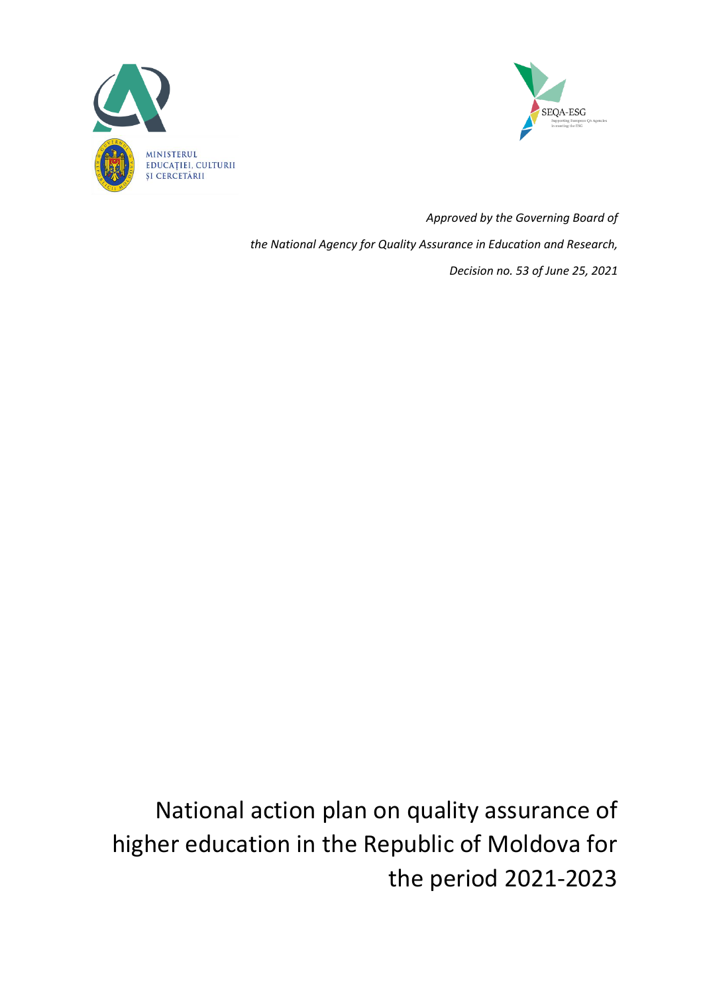



*Approved by the Governing Board of the National Agency for Quality Assurance in Education and Research, Decision no. 53 of June 25, 2021*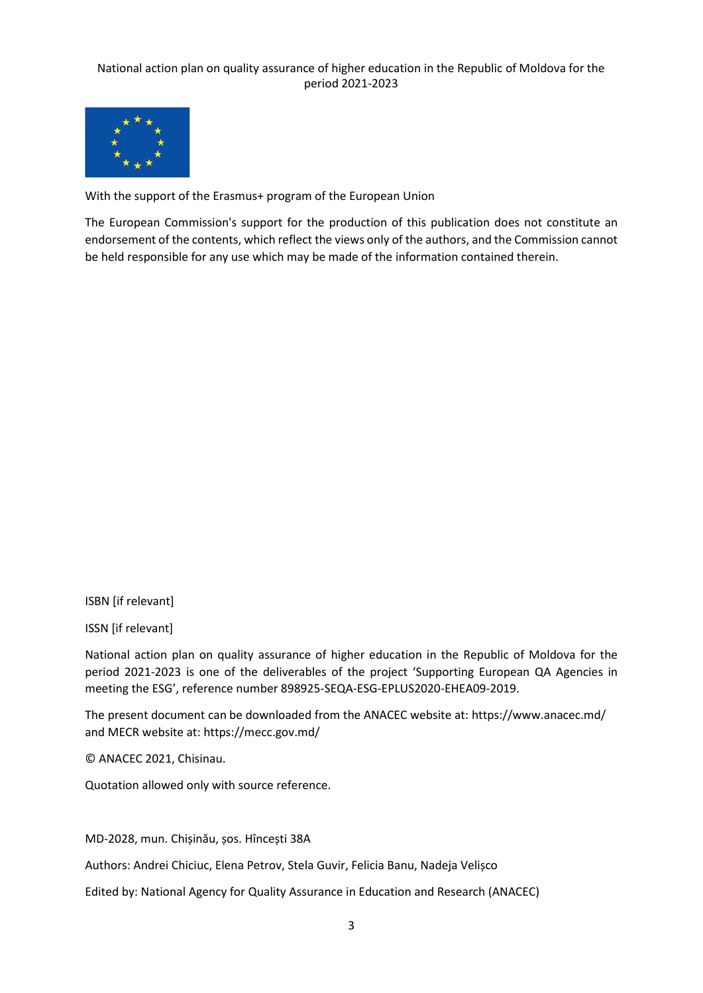

With the support of the Erasmus+ program of the European Union

The European Commission's support for the production of this publication does not constitute an endorsement of the contents, which reflect the views only of the authors, and the Commission cannot be held responsible for any use which may be made of the information contained therein.

ISBN [if relevant]

ISSN [if relevant]

National action plan on quality assurance of higher education in the Republic of Moldova for the period 2021-2023 is one of the deliverables of the project 'Supporting European QA Agencies in meeting the ESG', reference number 898925-SEQA-ESG-EPLUS2020-EHEA09-2019.

The present document can be downloaded from the ANACEC website at:<https://www.anacec.md/> and MECR website at: https://mecc.gov.md/

© ANACEC 2021, Chisinau.

Quotation allowed only with source reference.

MD-2028, mun. Chișinău, șos. Hîncești 38A

Authors: Andrei Chiciuc, Elena Petrov, Stela Guvir, Felicia Banu, Nadeja Velișco

Edited by: National Agency for Quality Assurance in Education and Research (ANACEC)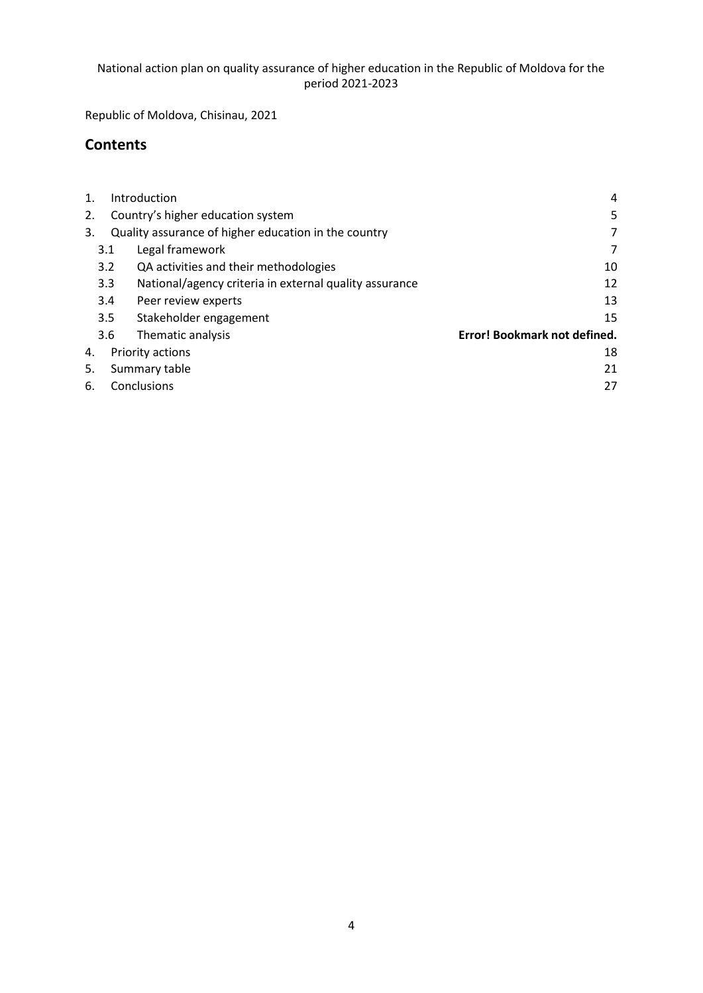Republic of Moldova, Chisinau, 2021

## **Contents**

| $\mathbf 1$            | Introduction<br>4   |                                                        |                              |  |  |
|------------------------|---------------------|--------------------------------------------------------|------------------------------|--|--|
| 2.                     |                     | Country's higher education system                      | 5                            |  |  |
| 3.                     |                     | Quality assurance of higher education in the country   | 7                            |  |  |
|                        | 3.1                 | Legal framework                                        | 7                            |  |  |
|                        | 3.2                 | QA activities and their methodologies                  | 10                           |  |  |
|                        | 3.3                 | National/agency criteria in external quality assurance | 12                           |  |  |
|                        | 3.4                 | Peer review experts                                    | 13                           |  |  |
|                        | 3.5                 | Stakeholder engagement                                 | 15                           |  |  |
|                        | 3.6                 | Thematic analysis                                      | Error! Bookmark not defined. |  |  |
| Priority actions<br>4. |                     |                                                        | 18                           |  |  |
| 5.                     | Summary table<br>21 |                                                        |                              |  |  |
| 6.                     | Conclusions<br>27   |                                                        |                              |  |  |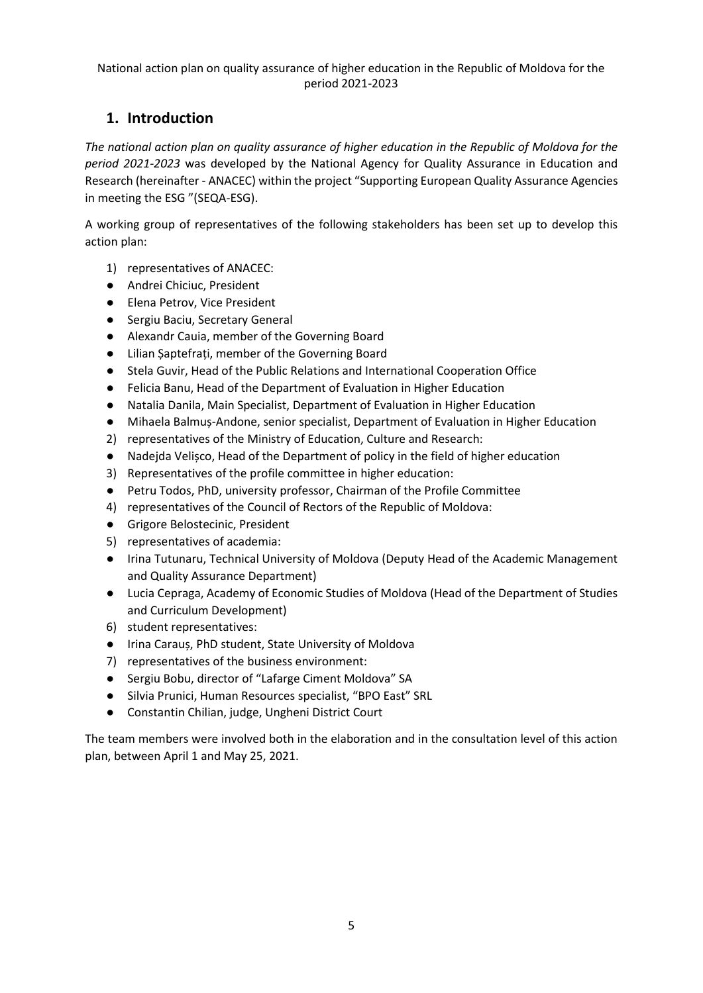# <span id="page-4-0"></span>**1. Introduction**

*The national action plan on quality assurance of higher education in the Republic of Moldova for the period 2021-2023* was developed by the National Agency for Quality Assurance in Education and Research (hereinafter - ANACEC) within the project "Supporting European Quality Assurance Agencies in meeting the ESG "(SEQA-ESG).

A working group of representatives of the following stakeholders has been set up to develop this action plan:

- 1) representatives of ANACEC:
- Andrei Chiciuc, President
- Elena Petrov, Vice President
- Sergiu Baciu, Secretary General
- Alexandr Cauia, member of the Governing Board
- Lilian Șaptefrați, member of the Governing Board
- Stela Guvir, Head of the Public Relations and International Cooperation Office
- Felicia Banu, Head of the Department of Evaluation in Higher Education
- Natalia Danila, Main Specialist, Department of Evaluation in Higher Education
- Mihaela Balmuș-Andone, senior specialist, Department of Evaluation in Higher Education
- 2) representatives of the Ministry of Education, Culture and Research:
- Nadejda Velișco, Head of the Department of policy in the field of higher education
- 3) Representatives of the profile committee in higher education:
- Petru Todos, PhD, university professor, Chairman of the Profile Committee
- 4) representatives of the Council of Rectors of the Republic of Moldova:
- Grigore Belostecinic, President
- 5) representatives of academia:
- Irina Tutunaru, Technical University of Moldova (Deputy Head of the Academic Management and Quality Assurance Department)
- Lucia Cepraga, Academy of Economic Studies of Moldova (Head of the Department of Studies and Curriculum Development)
- 6) student representatives:
- Irina Carauș, PhD student, State University of Moldova
- 7) representatives of the business environment:
- Sergiu Bobu, director of "Lafarge Ciment Moldova" SA
- Silvia Prunici, Human Resources specialist, "BPO East" SRL
- Constantin Chilian, judge, Ungheni District Court

The team members were involved both in the elaboration and in the consultation level of this action plan, between April 1 and May 25, 2021.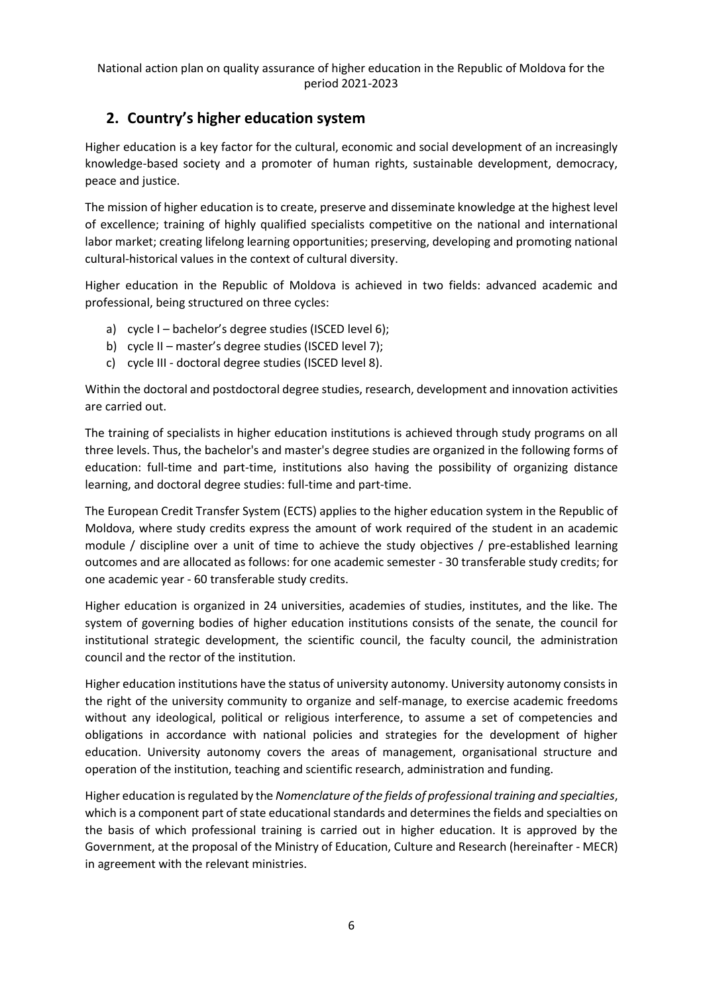## <span id="page-5-0"></span>**2. Country's higher education system**

Higher education is a key factor for the cultural, economic and social development of an increasingly knowledge-based society and a promoter of human rights, sustainable development, democracy, peace and justice.

The mission of higher education is to create, preserve and disseminate knowledge at the highest level of excellence; training of highly qualified specialists competitive on the national and international labor market; creating lifelong learning opportunities; preserving, developing and promoting national cultural-historical values in the context of cultural diversity.

Higher education in the Republic of Moldova is achieved in two fields: advanced academic and professional, being structured on three cycles:

- a) cycle I bachelor's degree studies (ISCED level 6);
- b) cycle II master's degree studies (ISCED level 7);
- c) cycle III doctoral degree studies (ISCED level 8).

Within the doctoral and postdoctoral degree studies, research, development and innovation activities are carried out.

The training of specialists in higher education institutions is achieved through study programs on all three levels. Thus, the bachelor's and master's degree studies are organized in the following forms of education: full-time and part-time, institutions also having the possibility of organizing distance learning, and doctoral degree studies: full-time and part-time.

The European Credit Transfer System (ECTS) applies to the higher education system in the Republic of Moldova, where study credits express the amount of work required of the student in an academic module / discipline over a unit of time to achieve the study objectives / pre-established learning outcomes and are allocated as follows: for one academic semester - 30 transferable study credits; for one academic year - 60 transferable study credits.

Higher education is organized in 24 universities, academies of studies, institutes, and the like. The system of governing bodies of higher education institutions consists of the senate, the council for institutional strategic development, the scientific council, the faculty council, the administration council and the rector of the institution.

Higher education institutions have the status of university autonomy. University autonomy consists in the right of the university community to organize and self-manage, to exercise academic freedoms without any ideological, political or religious interference, to assume a set of competencies and obligations in accordance with national policies and strategies for the development of higher education. University autonomy covers the areas of management, organisational structure and operation of the institution, teaching and scientific research, administration and funding.

Higher education is regulated by the *Nomenclature of the fields of professional training and specialties*, which is a component part of state educational standards and determines the fields and specialties on the basis of which professional training is carried out in higher education. It is approved by the Government, at the proposal of the Ministry of Education, Culture and Research (hereinafter - MECR) in agreement with the relevant ministries.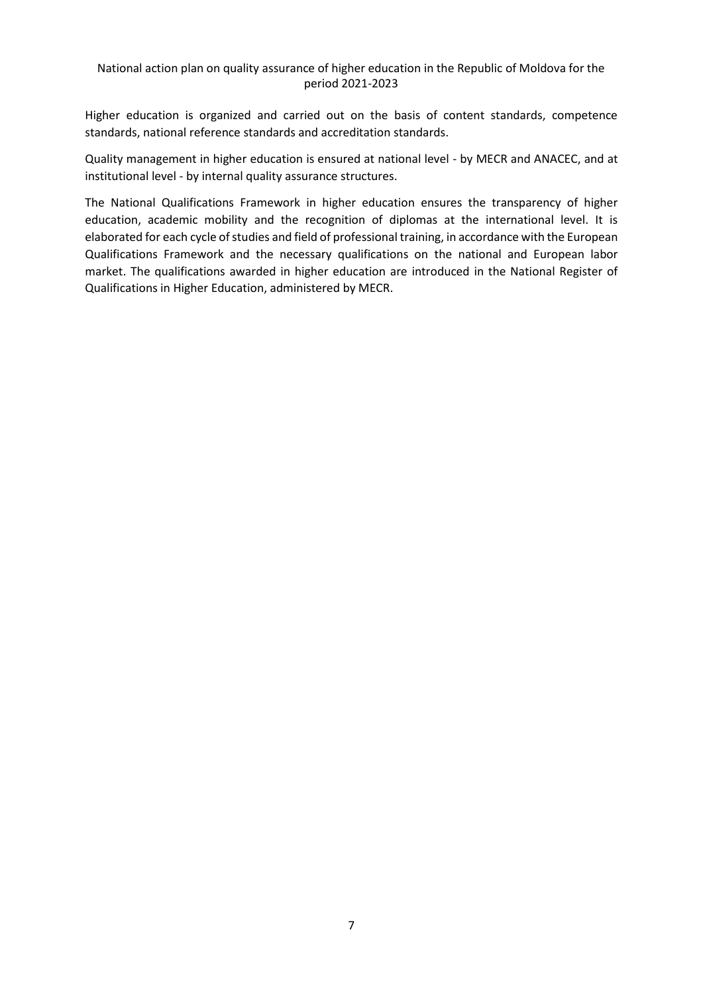Higher education is organized and carried out on the basis of content standards, competence standards, national reference standards and accreditation standards.

Quality management in higher education is ensured at national level - by MECR and ANACEC, and at institutional level - by internal quality assurance structures.

The National Qualifications Framework in higher education ensures the transparency of higher education, academic mobility and the recognition of diplomas at the international level. It is elaborated for each cycle of studies and field of professional training, in accordance with the European Qualifications Framework and the necessary qualifications on the national and European labor market. The qualifications awarded in higher education are introduced in the National Register of Qualifications in Higher Education, administered by MECR.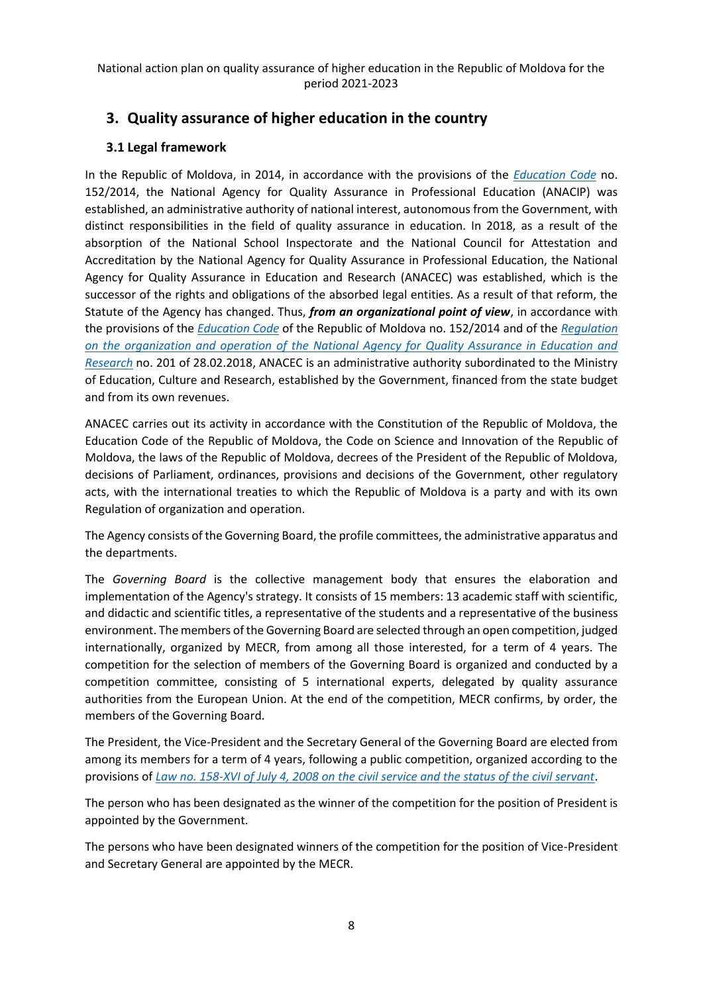## <span id="page-7-0"></span>**3. Quality assurance of higher education in the country**

### <span id="page-7-1"></span>**3.1 Legal framework**

In the Republic of Moldova, in 2014, in accordance with the provisions of the *[Education Code](https://www.legis.md/cautare/getResults?doc_id=123537&lang=ro)* no. 152/2014, the National Agency for Quality Assurance in Professional Education (ANACIP) was established, an administrative authority of national interest, autonomous from the Government, with distinct responsibilities in the field of quality assurance in education. In 2018, as a result of the absorption of the National School Inspectorate and the National Council for Attestation and Accreditation by the National Agency for Quality Assurance in Professional Education, the National Agency for Quality Assurance in Education and Research (ANACEC) was established, which is the successor of the rights and obligations of the absorbed legal entities. As a result of that reform, the Statute of the Agency has changed. Thus, *from an organizational point of view*, in accordance with the provisions of the *[Education Code](https://www.legis.md/cautare/getResults?doc_id=123537&lang=ro)* of the Republic of Moldova no. 152/2014 and of the *[Regulation](https://www.legis.md/cautare/getResults?doc_id=102159&lang=ro)  [on the organization and operation of the National Agency for Quality Assurance in Education and](https://www.legis.md/cautare/getResults?doc_id=102159&lang=ro)  [Research](https://www.legis.md/cautare/getResults?doc_id=102159&lang=ro)* no. 201 of 28.02.2018, ANACEC is an administrative authority subordinated to the Ministry of Education, Culture and Research, established by the Government, financed from the state budget and from its own revenues.

ANACEC carries out its activity in accordance with the Constitution of the Republic of Moldova, the Education Code of the Republic of Moldova, the Code on Science and Innovation of the Republic of Moldova, the laws of the Republic of Moldova, decrees of the President of the Republic of Moldova, decisions of Parliament, ordinances, provisions and decisions of the Government, other regulatory acts, with the international treaties to which the Republic of Moldova is a party and with its own Regulation of organization and operation.

The Agency consists of the Governing Board, the profile committees, the administrative apparatus and the departments.

The *Governing Board* is the collective management body that ensures the elaboration and implementation of the Agency's strategy. It consists of 15 members: 13 academic staff with scientific, and didactic and scientific titles, a representative of the students and a representative of the business environment. The members of the Governing Board are selected through an open competition, judged internationally, organized by MECR, from among all those interested, for a term of 4 years. The competition for the selection of members of the Governing Board is organized and conducted by a competition committee, consisting of 5 international experts, delegated by quality assurance authorities from the European Union. At the end of the competition, MECR confirms, by order, the members of the Governing Board.

The President, the Vice-President and the Secretary General of the Governing Board are elected from among its members for a term of 4 years, following a public competition, organized according to the provisions of *[Law no. 158-XVI of July 4, 2008 on the civil service and the status of the civil servant](https://www.legis.md/cautare/getResults?doc_id=126153&lang=ro)*.

The person who has been designated as the winner of the competition for the position of President is appointed by the Government.

The persons who have been designated winners of the competition for the position of Vice-President and Secretary General are appointed by the MECR.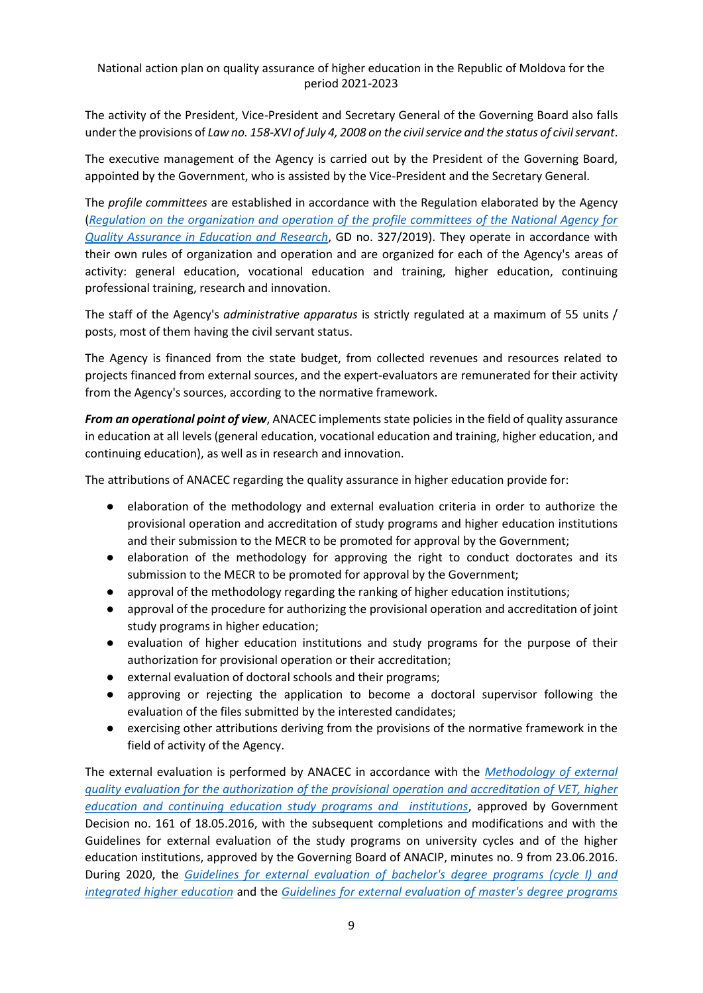The activity of the President, Vice-President and Secretary General of the Governing Board also falls under the provisions of *Law no. 158-XVI of July 4, 2008 on the civil service and the status of civil servant*.

The executive management of the Agency is carried out by the President of the Governing Board, appointed by the Government, who is assisted by the Vice-President and the Secretary General.

The *profile committees* are established in accordance with the Regulation elaborated by the Agency (*[Regulation on the organization and operation of the profile committees of the National Agency for](https://www.legis.md/cautare/getResults?doc_id=115435&lang=ro)  [Quality Assurance in Education and Research](https://www.legis.md/cautare/getResults?doc_id=115435&lang=ro)*, GD no. 327/2019). They operate in accordance with their own rules of organization and operation and are organized for each of the Agency's areas of activity: general education, vocational education and training, higher education, continuing professional training, research and innovation.

The staff of the Agency's *administrative apparatus* is strictly regulated at a maximum of 55 units / posts, most of them having the civil servant status.

The Agency is financed from the state budget, from collected revenues and resources related to projects financed from external sources, and the expert-evaluators are remunerated for their activity from the Agency's sources, according to the normative framework.

*From an operational point of view*, ANACEC implements state policies in the field of quality assurance in education at all levels (general education, vocational education and training, higher education, and continuing education), as well as in research and innovation.

The attributions of ANACEC regarding the quality assurance in higher education provide for:

- elaboration of the methodology and external evaluation criteria in order to authorize the provisional operation and accreditation of study programs and higher education institutions and their submission to the MECR to be promoted for approval by the Government;
- elaboration of the methodology for approving the right to conduct doctorates and its submission to the MECR to be promoted for approval by the Government;
- approval of the methodology regarding the ranking of higher education institutions;
- approval of the procedure for authorizing the provisional operation and accreditation of joint study programs in higher education;
- evaluation of higher education institutions and study programs for the purpose of their authorization for provisional operation or their accreditation;
- external evaluation of doctoral schools and their programs;
- approving or rejecting the application to become a doctoral supervisor following the evaluation of the files submitted by the interested candidates;
- exercising other attributions deriving from the provisions of the normative framework in the field of activity of the Agency.

The external evaluation is performed by ANACEC in accordance with the *[Methodology of external](https://www.legis.md/cautare/getResults?doc_id=123976&lang=ro)  [quality evaluation for the authorization of the provisional operation and accreditation of VET, higher](https://www.legis.md/cautare/getResults?doc_id=123976&lang=ro)  [education and continuing education study programs and institutions](https://www.legis.md/cautare/getResults?doc_id=123976&lang=ro)*, approved by Government Decision no. 161 of 18.05.2016, with the subsequent completions and modifications and with the Guidelines for external evaluation of the study programs on university cycles and of the higher education institutions, approved by the Governing Board of ANACIP, minutes no. 9 from 23.06.2016. During 2020, the *[Guidelines for external evaluation of bachelor's degree programs \(cycle I\) and](https://anacec.md/files/Ghid_licenta_studii%20integrate.pdf)  [integrated higher education](https://anacec.md/files/Ghid_licenta_studii%20integrate.pdf)* and the *[Guidelines for external evaluation of master's degree programs](https://anacec.md/files/Ghid%20_program%20de%20studii_master.pdf)*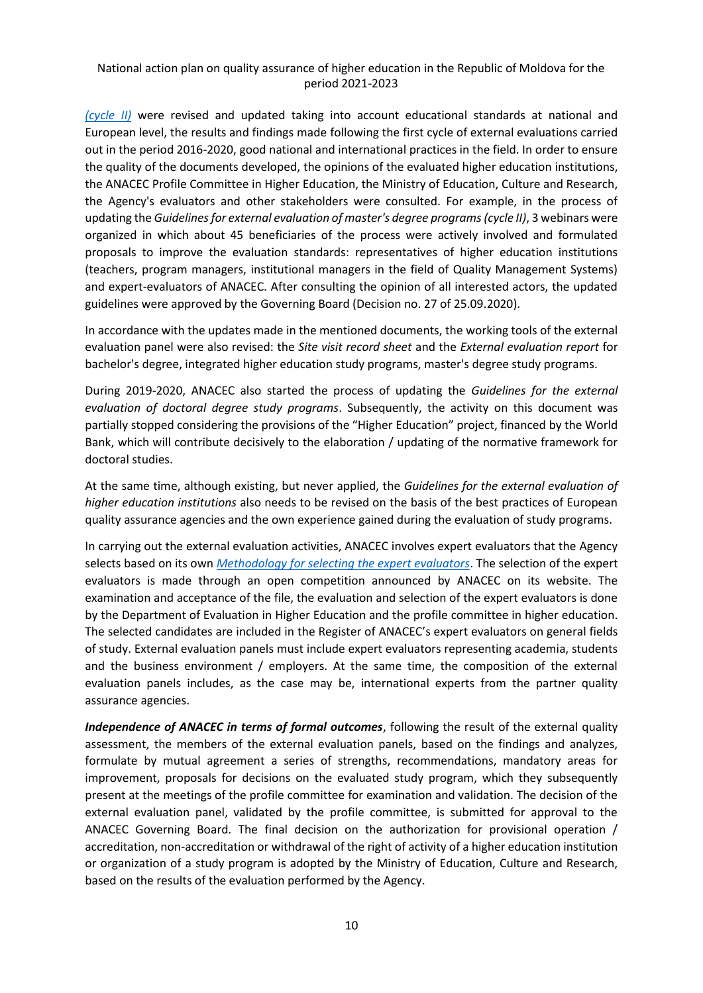*[\(cycle II\)](https://anacec.md/files/Ghid%20_program%20de%20studii_master.pdf)* were revised and updated taking into account educational standards at national and European level, the results and findings made following the first cycle of external evaluations carried out in the period 2016-2020, good national and international practices in the field. In order to ensure the quality of the documents developed, the opinions of the evaluated higher education institutions, the ANACEC Profile Committee in Higher Education, the Ministry of Education, Culture and Research, the Agency's evaluators and other stakeholders were consulted. For example, in the process of updating the *Guidelines for external evaluation of master's degree programs (cycle II)*, 3 webinars were organized in which about 45 beneficiaries of the process were actively involved and formulated proposals to improve the evaluation standards: representatives of higher education institutions (teachers, program managers, institutional managers in the field of Quality Management Systems) and expert-evaluators of ANACEC. After consulting the opinion of all interested actors, the updated guidelines were approved by the Governing Board (Decision no. 27 of 25.09.2020).

In accordance with the updates made in the mentioned documents, the working tools of the external evaluation panel were also revised: the *Site visit record sheet* and the *External evaluation report* for bachelor's degree, integrated higher education study programs, master's degree study programs.

During 2019-2020, ANACEC also started the process of updating the *Guidelines for the external evaluation of doctoral degree study programs*. Subsequently, the activity on this document was partially stopped considering the provisions of the "Higher Education" project, financed by the World Bank, which will contribute decisively to the elaboration / updating of the normative framework for doctoral studies.

At the same time, although existing, but never applied, the *Guidelines for the external evaluation of higher education institutions* also needs to be revised on the basis of the best practices of European quality assurance agencies and the own experience gained during the evaluation of study programs.

In carrying out the external evaluation activities, ANACEC involves expert evaluators that the Agency selects based on its own *[Methodology for selecting the expert evaluators](https://www.anacec.md/files/D70.Metodologie_Anexa.PDF)*. The selection of the expert evaluators is made through an open competition announced by ANACEC on its website. The examination and acceptance of the file, the evaluation and selection of the expert evaluators is done by the Department of Evaluation in Higher Education and the profile committee in higher education. The selected candidates are included in the Register of ANACEC's expert evaluators on general fields of study. External evaluation panels must include expert evaluators representing academia, students and the business environment / employers. At the same time, the composition of the external evaluation panels includes, as the case may be, international experts from the partner quality assurance agencies.

*Independence of ANACEC in terms of formal outcomes*, following the result of the external quality assessment, the members of the external evaluation panels, based on the findings and analyzes, formulate by mutual agreement a series of strengths, recommendations, mandatory areas for improvement, proposals for decisions on the evaluated study program, which they subsequently present at the meetings of the profile committee for examination and validation. The decision of the external evaluation panel, validated by the profile committee, is submitted for approval to the ANACEC Governing Board. The final decision on the authorization for provisional operation / accreditation, non-accreditation or withdrawal of the right of activity of a higher education institution or organization of a study program is adopted by the Ministry of Education, Culture and Research, based on the results of the evaluation performed by the Agency.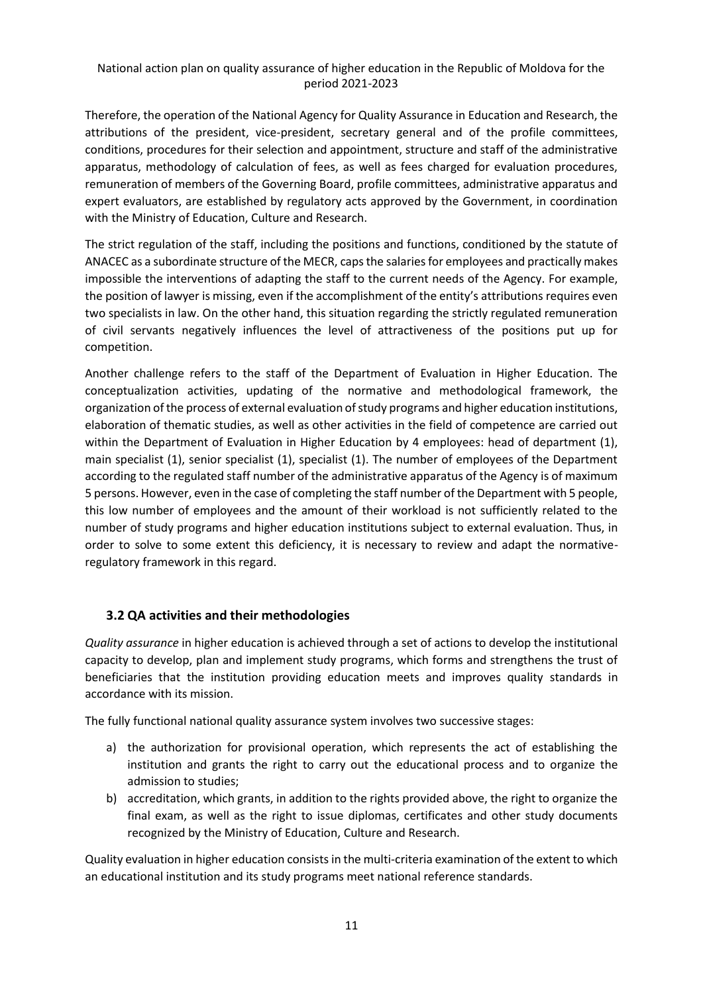Therefore, the operation of the National Agency for Quality Assurance in Education and Research, the attributions of the president, vice-president, secretary general and of the profile committees, conditions, procedures for their selection and appointment, structure and staff of the administrative apparatus, methodology of calculation of fees, as well as fees charged for evaluation procedures, remuneration of members of the Governing Board, profile committees, administrative apparatus and expert evaluators, are established by regulatory acts approved by the Government, in coordination with the Ministry of Education, Culture and Research.

The strict regulation of the staff, including the positions and functions, conditioned by the statute of ANACEC as a subordinate structure of the MECR, caps the salaries for employees and practically makes impossible the interventions of adapting the staff to the current needs of the Agency. For example, the position of lawyer is missing, even if the accomplishment of the entity's attributions requires even two specialists in law. On the other hand, this situation regarding the strictly regulated remuneration of civil servants negatively influences the level of attractiveness of the positions put up for competition.

Another challenge refers to the staff of the Department of Evaluation in Higher Education. The conceptualization activities, updating of the normative and methodological framework, the organization of the process of external evaluation of study programs and higher education institutions, elaboration of thematic studies, as well as other activities in the field of competence are carried out within the Department of Evaluation in Higher Education by 4 employees: head of department (1), main specialist (1), senior specialist (1), specialist (1). The number of employees of the Department according to the regulated staff number of the administrative apparatus of the Agency is of maximum 5 persons. However, even in the case of completing the staff number of the Department with 5 people, this low number of employees and the amount of their workload is not sufficiently related to the number of study programs and higher education institutions subject to external evaluation. Thus, in order to solve to some extent this deficiency, it is necessary to review and adapt the normativeregulatory framework in this regard.

### <span id="page-10-0"></span>**3.2 QA activities and their methodologies**

*Quality assurance* in higher education is achieved through a set of actions to develop the institutional capacity to develop, plan and implement study programs, which forms and strengthens the trust of beneficiaries that the institution providing education meets and improves quality standards in accordance with its mission.

The fully functional national quality assurance system involves two successive stages:

- a) the authorization for provisional operation, which represents the act of establishing the institution and grants the right to carry out the educational process and to organize the admission to studies;
- b) accreditation, which grants, in addition to the rights provided above, the right to organize the final exam, as well as the right to issue diplomas, certificates and other study documents recognized by the Ministry of Education, Culture and Research.

Quality evaluation in higher education consists in the multi-criteria examination of the extent to which an educational institution and its study programs meet national reference standards.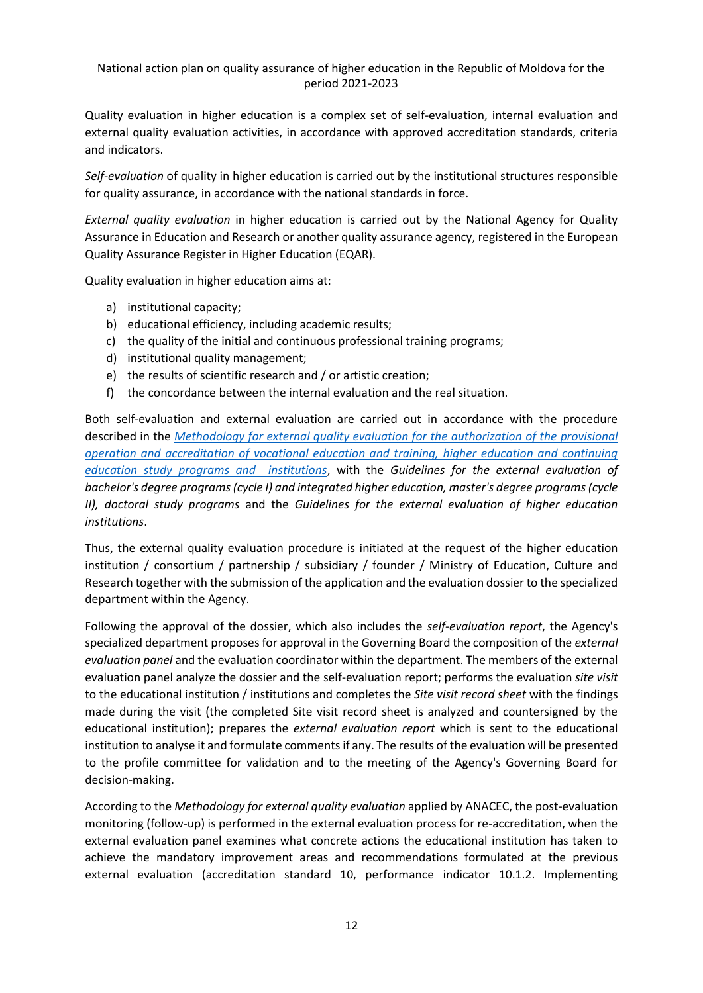Quality evaluation in higher education is a complex set of self-evaluation, internal evaluation and external quality evaluation activities, in accordance with approved accreditation standards, criteria and indicators.

*Self-evaluation* of quality in higher education is carried out by the institutional structures responsible for quality assurance, in accordance with the national standards in force.

*External quality evaluation* in higher education is carried out by the National Agency for Quality Assurance in Education and Research or another quality assurance agency, registered in the European Quality Assurance Register in Higher Education (EQAR).

Quality evaluation in higher education aims at:

- a) institutional capacity;
- b) educational efficiency, including academic results;
- c) the quality of the initial and continuous professional training programs;
- d) institutional quality management;
- e) the results of scientific research and / or artistic creation;
- f) the concordance between the internal evaluation and the real situation.

Both self-evaluation and external evaluation are carried out in accordance with the procedure described in the *[Methodology for external quality evaluation for the authorization of the provisional](https://www.legis.md/cautare/getResults?doc_id=123976&lang=ro)  [operation and accreditation of vocational education and training, higher education and continuing](https://www.legis.md/cautare/getResults?doc_id=123976&lang=ro)  [education study programs and institutions](https://www.legis.md/cautare/getResults?doc_id=123976&lang=ro)*, with the *Guidelines for the external evaluation of bachelor's degree programs (cycle I) and integrated higher education, master's degree programs (cycle II), doctoral study programs* and the *Guidelines for the external evaluation of higher education institutions*.

Thus, the external quality evaluation procedure is initiated at the request of the higher education institution / consortium / partnership / subsidiary / founder / Ministry of Education, Culture and Research together with the submission of the application and the evaluation dossier to the specialized department within the Agency.

Following the approval of the dossier, which also includes the *self-evaluation report*, the Agency's specialized department proposes for approval in the Governing Board the composition of the *external evaluation panel* and the evaluation coordinator within the department. The members of the external evaluation panel analyze the dossier and the self-evaluation report; performs the evaluation *site visit* to the educational institution / institutions and completes the *Site visit record sheet* with the findings made during the visit (the completed Site visit record sheet is analyzed and countersigned by the educational institution); prepares the *external evaluation report* which is sent to the educational institution to analyse it and formulate comments if any. The results of the evaluation will be presented to the profile committee for validation and to the meeting of the Agency's Governing Board for decision-making.

According to the *Methodology for external quality evaluation* applied by ANACEC, the post-evaluation monitoring (follow-up) is performed in the external evaluation process for re-accreditation, when the external evaluation panel examines what concrete actions the educational institution has taken to achieve the mandatory improvement areas and recommendations formulated at the previous external evaluation (accreditation standard 10, performance indicator 10.1.2. Implementing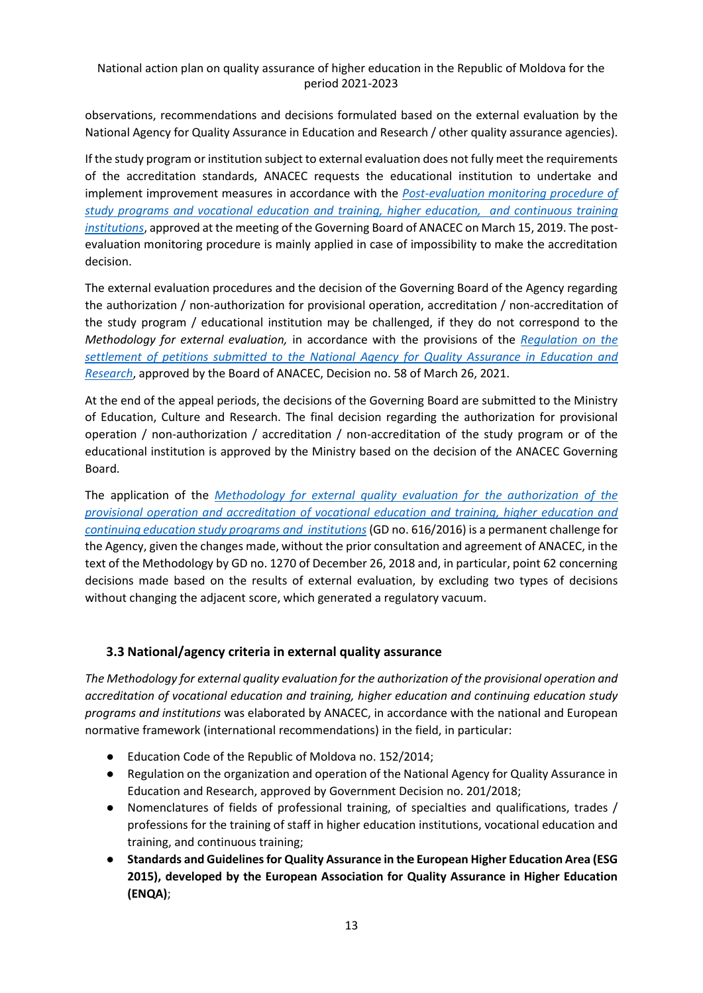observations, recommendations and decisions formulated based on the external evaluation by the National Agency for Quality Assurance in Education and Research / other quality assurance agencies).

If the study program or institution subject to external evaluation does not fully meet the requirements of the accreditation standards, ANACEC requests the educational institution to undertake and implement improvement measures in accordance with the *[Post-evaluation monitoring procedure of](https://amtap.md/wp-content/uploads/2020/06/ANACEC_Procedura-de-follow-up_aprobata.pdf)  [study programs and vocational education and training, higher education, and continuous training](https://amtap.md/wp-content/uploads/2020/06/ANACEC_Procedura-de-follow-up_aprobata.pdf)  [institutions](https://amtap.md/wp-content/uploads/2020/06/ANACEC_Procedura-de-follow-up_aprobata.pdf)*, approved at the meeting of the Governing Board of ANACEC on March 15, 2019. The postevaluation monitoring procedure is mainly applied in case of impossibility to make the accreditation decision.

The external evaluation procedures and the decision of the Governing Board of the Agency regarding the authorization / non-authorization for provisional operation, accreditation / non-accreditation of the study program / educational institution may be challenged, if they do not correspond to the *Methodology for external evaluation,* in accordance with the provisions of the *[Regulation on the](https://www.anacec.md/files/D58_CC_26.03.2021_Anexa.PDF)  [settlement of petitions submitted to the National Agency for Quality Assurance in Education and](https://www.anacec.md/files/D58_CC_26.03.2021_Anexa.PDF)  [Research](https://www.anacec.md/files/D58_CC_26.03.2021_Anexa.PDF)*, approved by the Board of ANACEC, Decision no. 58 of March 26, 2021.

At the end of the appeal periods, the decisions of the Governing Board are submitted to the Ministry of Education, Culture and Research. The final decision regarding the authorization for provisional operation / non-authorization / accreditation / non-accreditation of the study program or of the educational institution is approved by the Ministry based on the decision of the ANACEC Governing Board.

The application of the *[Methodology for external quality evaluation for the authorization of the](https://www.legis.md/cautare/getResults?doc_id=123976&lang=ro)  [provisional operation and accreditation of vocational education and training, higher education and](https://www.legis.md/cautare/getResults?doc_id=123976&lang=ro)  [continuing education study programs and institutions](https://www.legis.md/cautare/getResults?doc_id=123976&lang=ro)*(GD no. 616/2016) is a permanent challenge for the Agency, given the changes made, without the prior consultation and agreement of ANACEC, in the text of the Methodology by GD no. 1270 of December 26, 2018 and, in particular, point 62 concerning decisions made based on the results of external evaluation, by excluding two types of decisions without changing the adjacent score, which generated a regulatory vacuum.

### <span id="page-12-0"></span>**3.3 National/agency criteria in external quality assurance**

*The Methodology for external quality evaluation for the authorization of the provisional operation and accreditation of vocational education and training, higher education and continuing education study programs and institutions* was elaborated by ANACEC, in accordance with the national and European normative framework (international recommendations) in the field, in particular:

- Education Code of the Republic of Moldova no. 152/2014;
- Regulation on the organization and operation of the National Agency for Quality Assurance in Education and Research, approved by Government Decision no. 201/2018;
- Nomenclatures of fields of professional training, of specialties and qualifications, trades / professions for the training of staff in higher education institutions, vocational education and training, and continuous training;
- **Standards and Guidelines for Quality Assurance in the European Higher Education Area (ESG 2015), developed by the European Association for Quality Assurance in Higher Education (ENQA)**;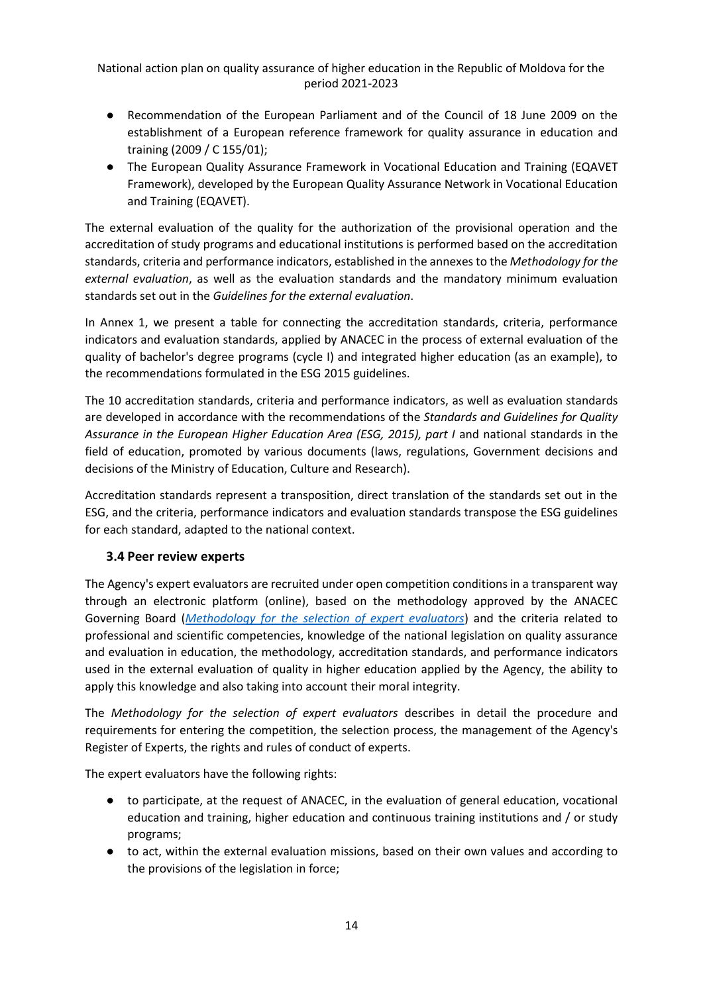- Recommendation of the European Parliament and of the Council of 18 June 2009 on the establishment of a European reference framework for quality assurance in education and training (2009 / C 155/01);
- The European Quality Assurance Framework in Vocational Education and Training (EQAVET Framework), developed by the European Quality Assurance Network in Vocational Education and Training (EQAVET).

The external evaluation of the quality for the authorization of the provisional operation and the accreditation of study programs and educational institutions is performed based on the accreditation standards, criteria and performance indicators, established in the annexes to the *Methodology for the external evaluation*, as well as the evaluation standards and the mandatory minimum evaluation standards set out in the *Guidelines for the external evaluation*.

In Annex 1, we present a table for connecting the accreditation standards, criteria, performance indicators and evaluation standards, applied by ANACEC in the process of external evaluation of the quality of bachelor's degree programs (cycle I) and integrated higher education (as an example), to the recommendations formulated in the ESG 2015 guidelines.

The 10 accreditation standards, criteria and performance indicators, as well as evaluation standards are developed in accordance with the recommendations of the *Standards and Guidelines for Quality Assurance in the European Higher Education Area (ESG, 2015), part I* and national standards in the field of education, promoted by various documents (laws, regulations, Government decisions and decisions of the Ministry of Education, Culture and Research).

Accreditation standards represent a transposition, direct translation of the standards set out in the ESG, and the criteria, performance indicators and evaluation standards transpose the ESG guidelines for each standard, adapted to the national context.

### <span id="page-13-0"></span>**3.4 Peer review experts**

The Agency's expert evaluators are recruited under open competition conditions in a transparent way through an electronic platform (online), based on the methodology approved by the ANACEC Governing Board (*[Methodology for the selection of expert evaluators](https://www.anacec.md/files/D70.Metodologie_Anexa.PDF)*) and the criteria related to professional and scientific competencies, knowledge of the national legislation on quality assurance and evaluation in education, the methodology, accreditation standards, and performance indicators used in the external evaluation of quality in higher education applied by the Agency, the ability to apply this knowledge and also taking into account their moral integrity.

The *Methodology for the selection of expert evaluators* describes in detail the procedure and requirements for entering the competition, the selection process, the management of the Agency's Register of Experts, the rights and rules of conduct of experts.

The expert evaluators have the following rights:

- to participate, at the request of ANACEC, in the evaluation of general education, vocational education and training, higher education and continuous training institutions and / or study programs;
- to act, within the external evaluation missions, based on their own values and according to the provisions of the legislation in force;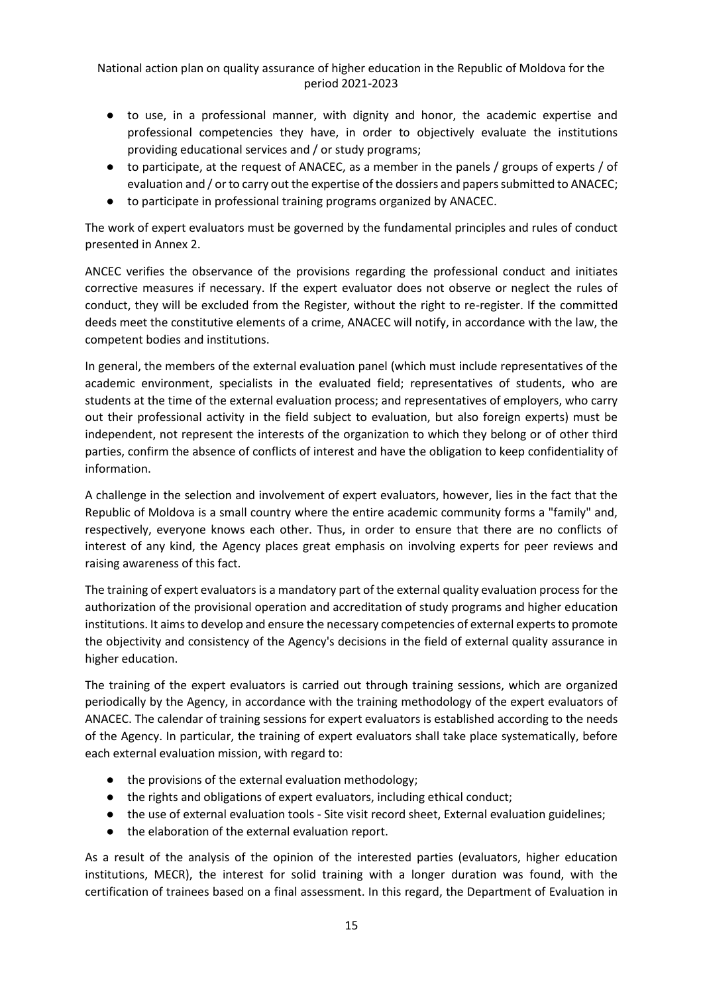- to use, in a professional manner, with dignity and honor, the academic expertise and professional competencies they have, in order to objectively evaluate the institutions providing educational services and / or study programs;
- to participate, at the request of ANACEC, as a member in the panels / groups of experts / of evaluation and / or to carry out the expertise of the dossiers and papers submitted to ANACEC;
- to participate in professional training programs organized by ANACEC.

The work of expert evaluators must be governed by the fundamental principles and rules of conduct presented in Annex 2.

ANCEC verifies the observance of the provisions regarding the professional conduct and initiates corrective measures if necessary. If the expert evaluator does not observe or neglect the rules of conduct, they will be excluded from the Register, without the right to re-register. If the committed deeds meet the constitutive elements of a crime, ANACEC will notify, in accordance with the law, the competent bodies and institutions.

In general, the members of the external evaluation panel (which must include representatives of the academic environment, specialists in the evaluated field; representatives of students, who are students at the time of the external evaluation process; and representatives of employers, who carry out their professional activity in the field subject to evaluation, but also foreign experts) must be independent, not represent the interests of the organization to which they belong or of other third parties, confirm the absence of conflicts of interest and have the obligation to keep confidentiality of information.

A challenge in the selection and involvement of expert evaluators, however, lies in the fact that the Republic of Moldova is a small country where the entire academic community forms a "family" and, respectively, everyone knows each other. Thus, in order to ensure that there are no conflicts of interest of any kind, the Agency places great emphasis on involving experts for peer reviews and raising awareness of this fact.

The training of expert evaluators is a mandatory part of the external quality evaluation process for the authorization of the provisional operation and accreditation of study programs and higher education institutions. It aims to develop and ensure the necessary competencies of external experts to promote the objectivity and consistency of the Agency's decisions in the field of external quality assurance in higher education.

The training of the expert evaluators is carried out through training sessions, which are organized periodically by the Agency, in accordance with the training methodology of the expert evaluators of ANACEC. The calendar of training sessions for expert evaluators is established according to the needs of the Agency. In particular, the training of expert evaluators shall take place systematically, before each external evaluation mission, with regard to:

- the provisions of the external evaluation methodology;
- the rights and obligations of expert evaluators, including ethical conduct;
- the use of external evaluation tools Site visit record sheet, External evaluation guidelines;
- the elaboration of the external evaluation report.

As a result of the analysis of the opinion of the interested parties (evaluators, higher education institutions, MECR), the interest for solid training with a longer duration was found, with the certification of trainees based on a final assessment. In this regard, the Department of Evaluation in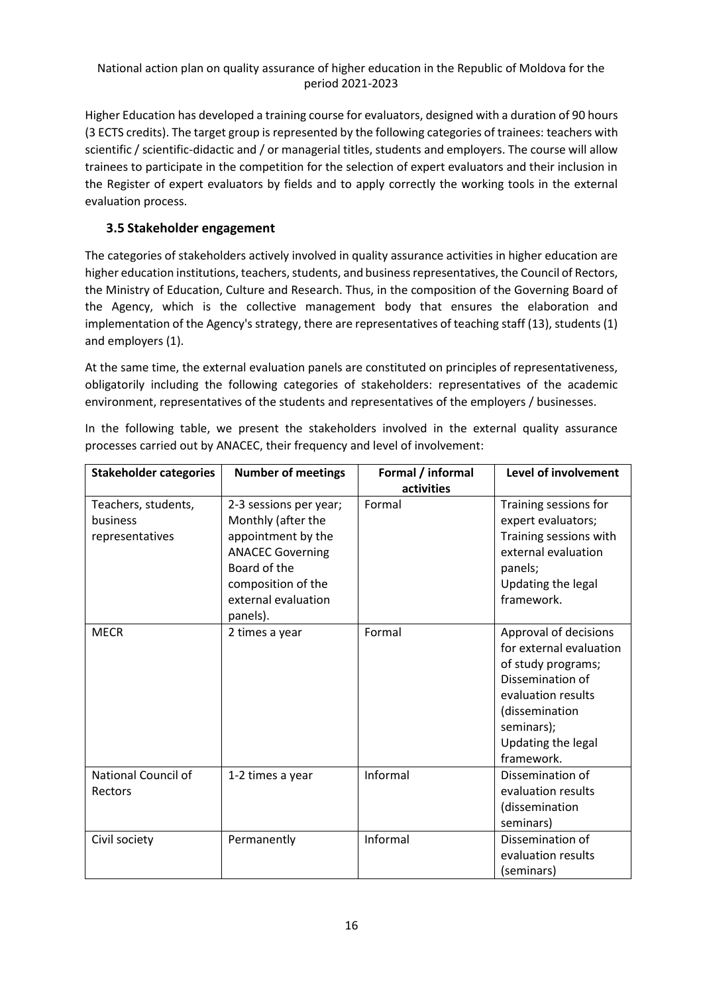Higher Education has developed a training course for evaluators, designed with a duration of 90 hours (3 ECTS credits). The target group is represented by the following categories of trainees: teachers with scientific / scientific-didactic and / or managerial titles, students and employers. The course will allow trainees to participate in the competition for the selection of expert evaluators and their inclusion in the Register of expert evaluators by fields and to apply correctly the working tools in the external evaluation process.

### <span id="page-15-0"></span>**3.5 Stakeholder engagement**

The categories of stakeholders actively involved in quality assurance activities in higher education are higher education institutions, teachers, students, and business representatives, the Council of Rectors, the Ministry of Education, Culture and Research. Thus, in the composition of the Governing Board of the Agency, which is the collective management body that ensures the elaboration and implementation of the Agency's strategy, there are representatives of teaching staff (13), students (1) and employers (1).

At the same time, the external evaluation panels are constituted on principles of representativeness, obligatorily including the following categories of stakeholders: representatives of the academic environment, representatives of the students and representatives of the employers / businesses.

| <b>Stakeholder categories</b>                      | <b>Number of meetings</b>                                                                                                                                              | Formal / informal<br>activities | <b>Level of involvement</b>                                                                                                                                                          |
|----------------------------------------------------|------------------------------------------------------------------------------------------------------------------------------------------------------------------------|---------------------------------|--------------------------------------------------------------------------------------------------------------------------------------------------------------------------------------|
| Teachers, students,<br>business<br>representatives | 2-3 sessions per year;<br>Monthly (after the<br>appointment by the<br><b>ANACEC Governing</b><br>Board of the<br>composition of the<br>external evaluation<br>panels). | Formal                          | Training sessions for<br>expert evaluators;<br>Training sessions with<br>external evaluation<br>panels;<br>Updating the legal<br>framework.                                          |
| <b>MECR</b>                                        | 2 times a year                                                                                                                                                         | Formal                          | Approval of decisions<br>for external evaluation<br>of study programs;<br>Dissemination of<br>evaluation results<br>(dissemination<br>seminars);<br>Updating the legal<br>framework. |
| <b>National Council of</b><br>Rectors              | 1-2 times a year                                                                                                                                                       | Informal                        | Dissemination of<br>evaluation results<br>(dissemination<br>seminars)                                                                                                                |
| Civil society                                      | Permanently                                                                                                                                                            | Informal                        | Dissemination of<br>evaluation results<br>(seminars)                                                                                                                                 |

In the following table, we present the stakeholders involved in the external quality assurance processes carried out by ANACEC, their frequency and level of involvement: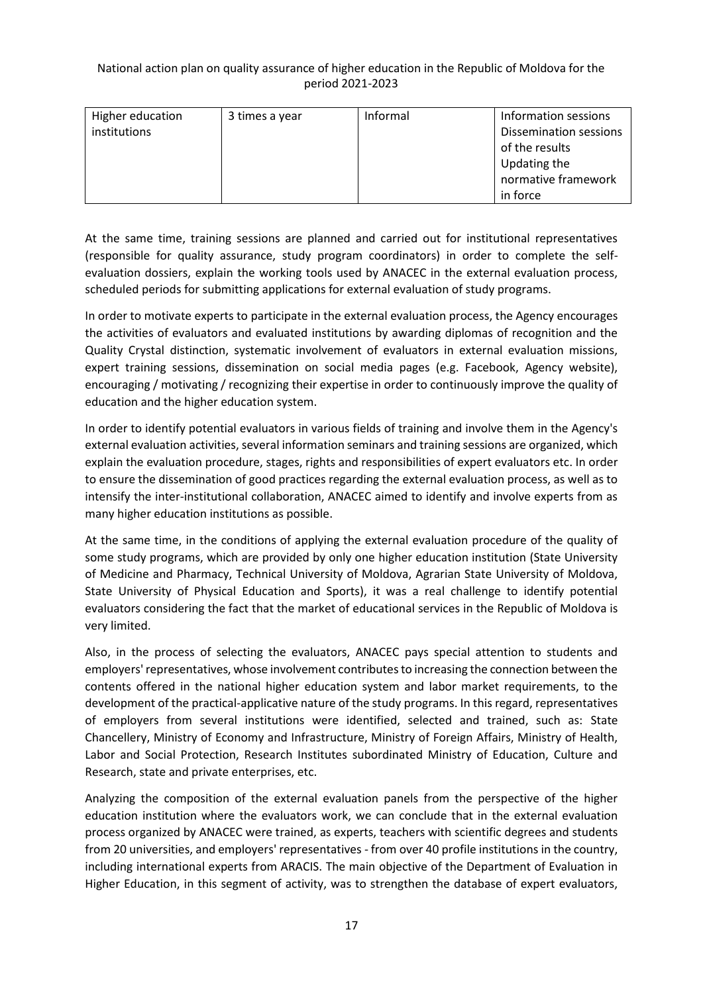| Higher education | 3 times a year | Informal | Information sessions          |
|------------------|----------------|----------|-------------------------------|
| institutions     |                |          | <b>Dissemination sessions</b> |
|                  |                |          | of the results                |
|                  |                |          | Updating the                  |
|                  |                |          | normative framework           |
|                  |                |          | in force                      |

At the same time, training sessions are planned and carried out for institutional representatives (responsible for quality assurance, study program coordinators) in order to complete the selfevaluation dossiers, explain the working tools used by ANACEC in the external evaluation process, scheduled periods for submitting applications for external evaluation of study programs.

In order to motivate experts to participate in the external evaluation process, the Agency encourages the activities of evaluators and evaluated institutions by awarding diplomas of recognition and the Quality Crystal distinction, systematic involvement of evaluators in external evaluation missions, expert training sessions, dissemination on social media pages (e.g. Facebook, Agency website), encouraging / motivating / recognizing their expertise in order to continuously improve the quality of education and the higher education system.

In order to identify potential evaluators in various fields of training and involve them in the Agency's external evaluation activities, several information seminars and training sessions are organized, which explain the evaluation procedure, stages, rights and responsibilities of expert evaluators etc. In order to ensure the dissemination of good practices regarding the external evaluation process, as well as to intensify the inter-institutional collaboration, ANACEC aimed to identify and involve experts from as many higher education institutions as possible.

At the same time, in the conditions of applying the external evaluation procedure of the quality of some study programs, which are provided by only one higher education institution (State University of Medicine and Pharmacy, Technical University of Moldova, Agrarian State University of Moldova, State University of Physical Education and Sports), it was a real challenge to identify potential evaluators considering the fact that the market of educational services in the Republic of Moldova is very limited.

Also, in the process of selecting the evaluators, ANACEC pays special attention to students and employers' representatives, whose involvement contributes to increasing the connection between the contents offered in the national higher education system and labor market requirements, to the development of the practical-applicative nature of the study programs. In this regard, representatives of employers from several institutions were identified, selected and trained, such as: State Chancellery, Ministry of Economy and Infrastructure, Ministry of Foreign Affairs, Ministry of Health, Labor and Social Protection, Research Institutes subordinated Ministry of Education, Culture and Research, state and private enterprises, etc.

Analyzing the composition of the external evaluation panels from the perspective of the higher education institution where the evaluators work, we can conclude that in the external evaluation process organized by ANACEC were trained, as experts, teachers with scientific degrees and students from 20 universities, and employers' representatives - from over 40 profile institutions in the country, including international experts from ARACIS. The main objective of the Department of Evaluation in Higher Education, in this segment of activity, was to strengthen the database of expert evaluators,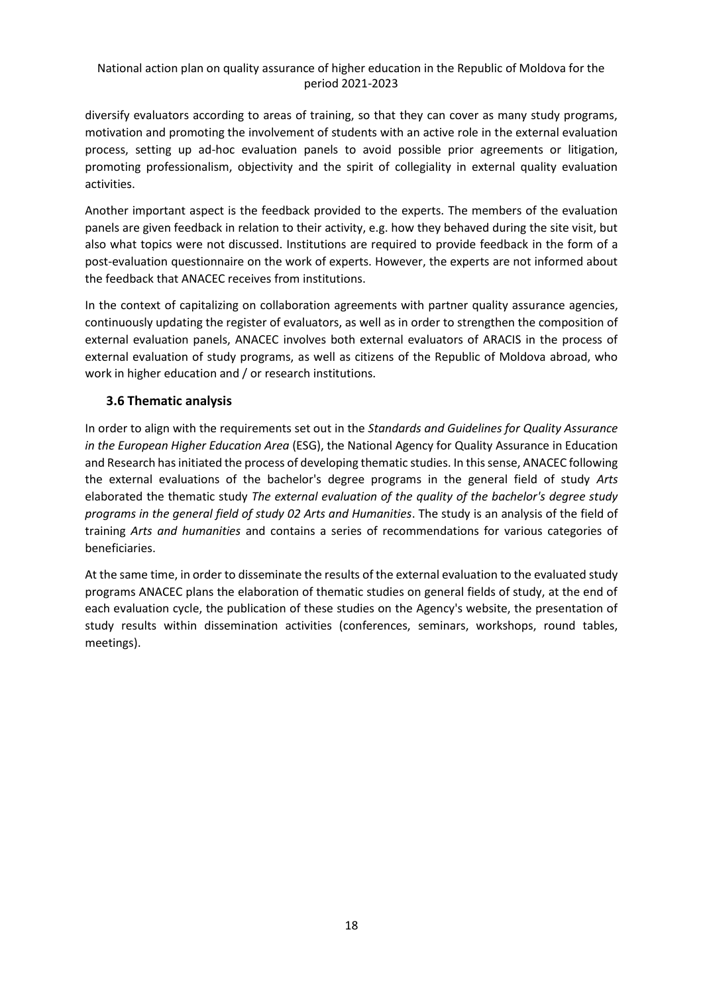diversify evaluators according to areas of training, so that they can cover as many study programs, motivation and promoting the involvement of students with an active role in the external evaluation process, setting up ad-hoc evaluation panels to avoid possible prior agreements or litigation, promoting professionalism, objectivity and the spirit of collegiality in external quality evaluation activities.

Another important aspect is the feedback provided to the experts. The members of the evaluation panels are given feedback in relation to their activity, e.g. how they behaved during the site visit, but also what topics were not discussed. Institutions are required to provide feedback in the form of a post-evaluation questionnaire on the work of experts. However, the experts are not informed about the feedback that ANACEC receives from institutions.

In the context of capitalizing on collaboration agreements with partner quality assurance agencies, continuously updating the register of evaluators, as well as in order to strengthen the composition of external evaluation panels, ANACEC involves both external evaluators of ARACIS in the process of external evaluation of study programs, as well as citizens of the Republic of Moldova abroad, who work in higher education and / or research institutions.

### **3.6 Thematic analysis**

In order to align with the requirements set out in the *Standards and Guidelines for Quality Assurance in the European Higher Education Area* (ESG), the National Agency for Quality Assurance in Education and Research has initiated the process of developing thematic studies. In this sense, ANACEC following the external evaluations of the bachelor's degree programs in the general field of study *Arts* elaborated the thematic study *The external evaluation of the quality of the bachelor's degree study programs in the general field of study 02 Arts and Humanities*. The study is an analysis of the field of training *Arts and humanities* and contains a series of recommendations for various categories of beneficiaries.

At the same time, in order to disseminate the results of the external evaluation to the evaluated study programs ANACEC plans the elaboration of thematic studies on general fields of study, at the end of each evaluation cycle, the publication of these studies on the Agency's website, the presentation of study results within dissemination activities (conferences, seminars, workshops, round tables, meetings).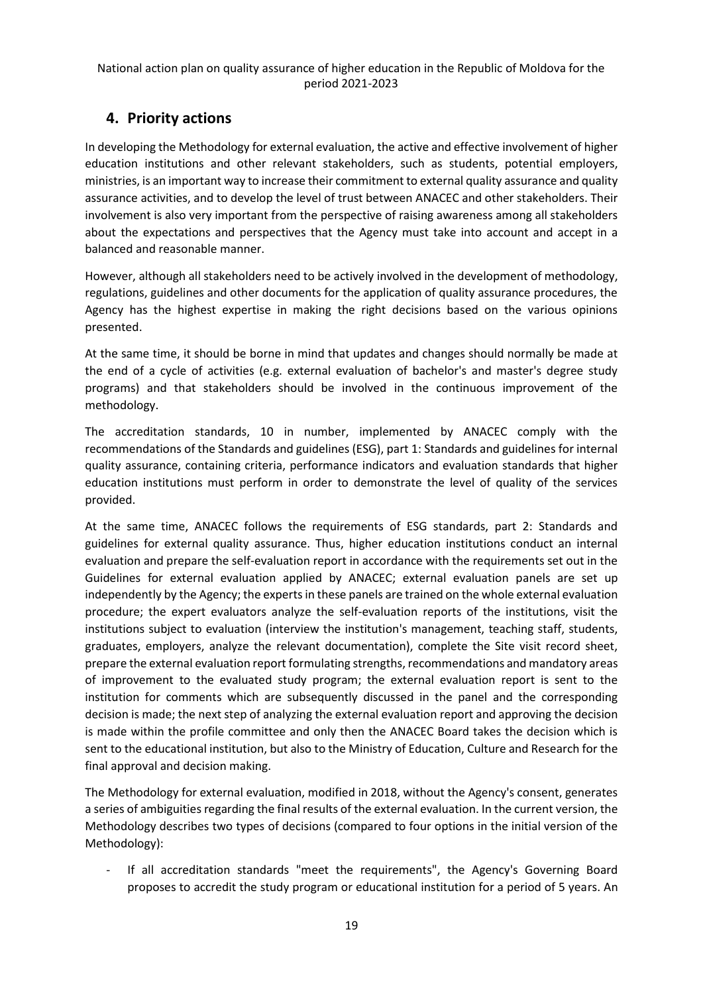# <span id="page-18-0"></span>**4. Priority actions**

In developing the Methodology for external evaluation, the active and effective involvement of higher education institutions and other relevant stakeholders, such as students, potential employers, ministries, is an important way to increase their commitment to external quality assurance and quality assurance activities, and to develop the level of trust between ANACEC and other stakeholders. Their involvement is also very important from the perspective of raising awareness among all stakeholders about the expectations and perspectives that the Agency must take into account and accept in a balanced and reasonable manner.

However, although all stakeholders need to be actively involved in the development of methodology, regulations, guidelines and other documents for the application of quality assurance procedures, the Agency has the highest expertise in making the right decisions based on the various opinions presented.

At the same time, it should be borne in mind that updates and changes should normally be made at the end of a cycle of activities (e.g. external evaluation of bachelor's and master's degree study programs) and that stakeholders should be involved in the continuous improvement of the methodology.

The accreditation standards, 10 in number, implemented by ANACEC comply with the recommendations of the Standards and guidelines (ESG), part 1: Standards and guidelines for internal quality assurance, containing criteria, performance indicators and evaluation standards that higher education institutions must perform in order to demonstrate the level of quality of the services provided.

At the same time, ANACEC follows the requirements of ESG standards, part 2: Standards and guidelines for external quality assurance. Thus, higher education institutions conduct an internal evaluation and prepare the self-evaluation report in accordance with the requirements set out in the Guidelines for external evaluation applied by ANACEC; external evaluation panels are set up independently by the Agency; the experts in these panels are trained on the whole external evaluation procedure; the expert evaluators analyze the self-evaluation reports of the institutions, visit the institutions subject to evaluation (interview the institution's management, teaching staff, students, graduates, employers, analyze the relevant documentation), complete the Site visit record sheet, prepare the external evaluation report formulating strengths, recommendations and mandatory areas of improvement to the evaluated study program; the external evaluation report is sent to the institution for comments which are subsequently discussed in the panel and the corresponding decision is made; the next step of analyzing the external evaluation report and approving the decision is made within the profile committee and only then the ANACEC Board takes the decision which is sent to the educational institution, but also to the Ministry of Education, Culture and Research for the final approval and decision making.

The Methodology for external evaluation, modified in 2018, without the Agency's consent, generates a series of ambiguities regarding the final results of the external evaluation. In the current version, the Methodology describes two types of decisions (compared to four options in the initial version of the Methodology):

If all accreditation standards "meet the requirements", the Agency's Governing Board proposes to accredit the study program or educational institution for a period of 5 years. An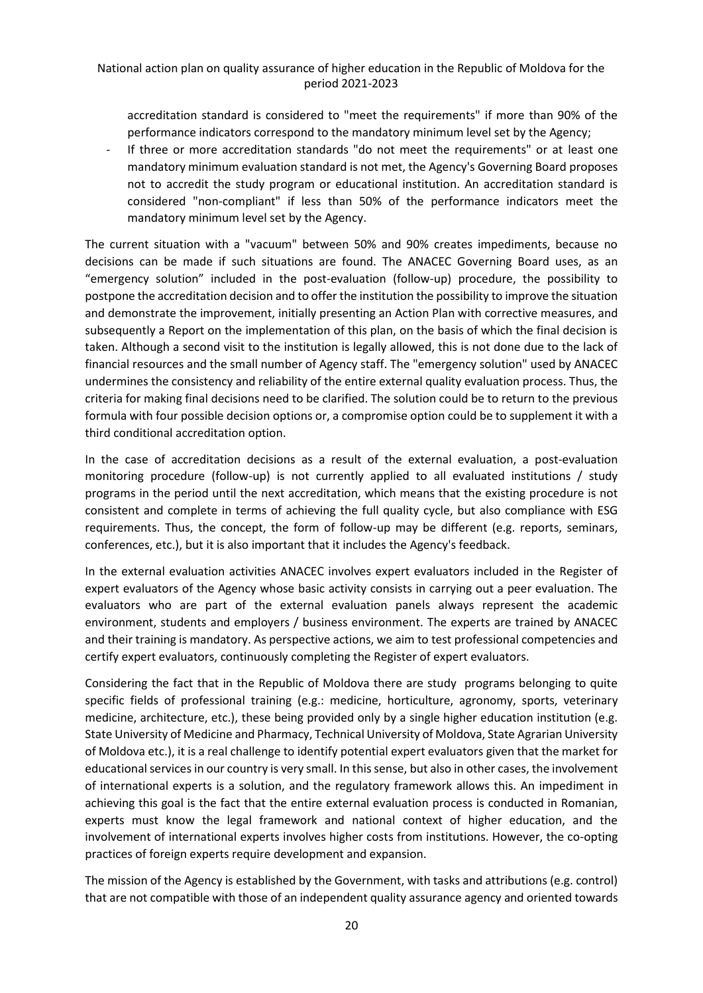accreditation standard is considered to "meet the requirements" if more than 90% of the performance indicators correspond to the mandatory minimum level set by the Agency;

- If three or more accreditation standards "do not meet the requirements" or at least one mandatory minimum evaluation standard is not met, the Agency's Governing Board proposes not to accredit the study program or educational institution. An accreditation standard is considered "non-compliant" if less than 50% of the performance indicators meet the mandatory minimum level set by the Agency.

The current situation with a "vacuum" between 50% and 90% creates impediments, because no decisions can be made if such situations are found. The ANACEC Governing Board uses, as an "emergency solution" included in the post-evaluation (follow-up) procedure, the possibility to postpone the accreditation decision and to offer the institution the possibility to improve the situation and demonstrate the improvement, initially presenting an Action Plan with corrective measures, and subsequently a Report on the implementation of this plan, on the basis of which the final decision is taken. Although a second visit to the institution is legally allowed, this is not done due to the lack of financial resources and the small number of Agency staff. The "emergency solution" used by ANACEC undermines the consistency and reliability of the entire external quality evaluation process. Thus, the criteria for making final decisions need to be clarified. The solution could be to return to the previous formula with four possible decision options or, a compromise option could be to supplement it with a third conditional accreditation option.

In the case of accreditation decisions as a result of the external evaluation, a post-evaluation monitoring procedure (follow-up) is not currently applied to all evaluated institutions / study programs in the period until the next accreditation, which means that the existing procedure is not consistent and complete in terms of achieving the full quality cycle, but also compliance with ESG requirements. Thus, the concept, the form of follow-up may be different (e.g. reports, seminars, conferences, etc.), but it is also important that it includes the Agency's feedback.

In the external evaluation activities ANACEC involves expert evaluators included in the Register of expert evaluators of the Agency whose basic activity consists in carrying out a peer evaluation. The evaluators who are part of the external evaluation panels always represent the academic environment, students and employers / business environment. The experts are trained by ANACEC and their training is mandatory. As perspective actions, we aim to test professional competencies and certify expert evaluators, continuously completing the Register of expert evaluators.

Considering the fact that in the Republic of Moldova there are study programs belonging to quite specific fields of professional training (e.g.: medicine, horticulture, agronomy, sports, veterinary medicine, architecture, etc.), these being provided only by a single higher education institution (e.g. State University of Medicine and Pharmacy, Technical University of Moldova, State Agrarian University of Moldova etc.), it is a real challenge to identify potential expert evaluators given that the market for educational services in our country is very small. In this sense, but also in other cases, the involvement of international experts is a solution, and the regulatory framework allows this. An impediment in achieving this goal is the fact that the entire external evaluation process is conducted in Romanian, experts must know the legal framework and national context of higher education, and the involvement of international experts involves higher costs from institutions. However, the co-opting practices of foreign experts require development and expansion.

The mission of the Agency is established by the Government, with tasks and attributions (e.g. control) that are not compatible with those of an independent quality assurance agency and oriented towards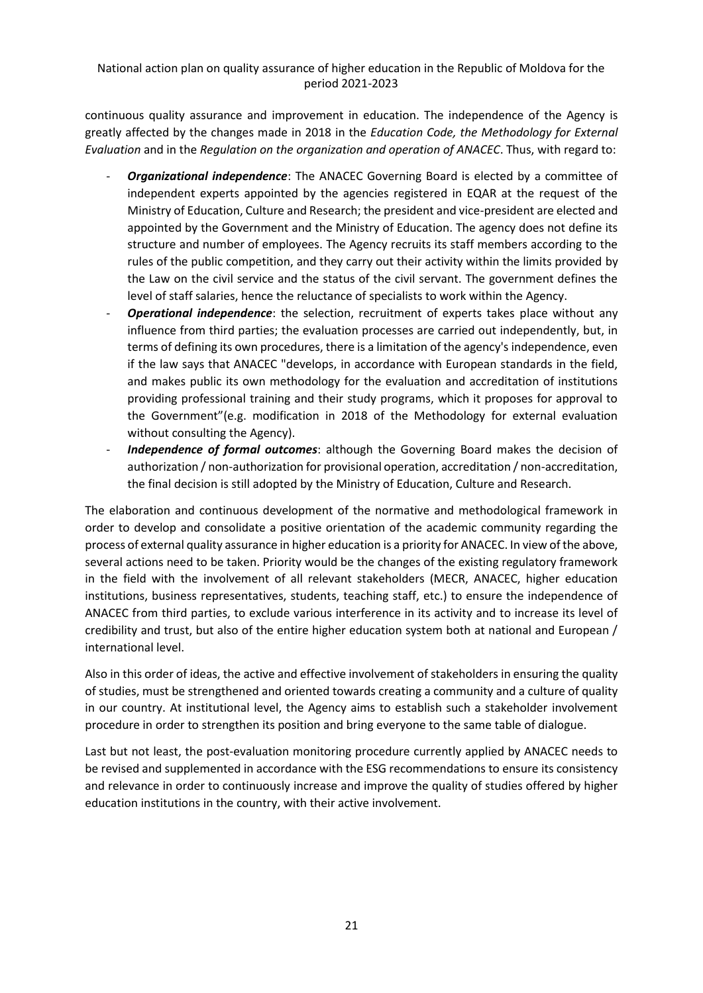continuous quality assurance and improvement in education. The independence of the Agency is greatly affected by the changes made in 2018 in the *Education Code, the Methodology for External Evaluation* and in the *Regulation on the organization and operation of ANACEC*. Thus, with regard to:

- *Organizational independence*: The ANACEC Governing Board is elected by a committee of independent experts appointed by the agencies registered in EQAR at the request of the Ministry of Education, Culture and Research; the president and vice-president are elected and appointed by the Government and the Ministry of Education. The agency does not define its structure and number of employees. The Agency recruits its staff members according to the rules of the public competition, and they carry out their activity within the limits provided by the Law on the civil service and the status of the civil servant. The government defines the level of staff salaries, hence the reluctance of specialists to work within the Agency.
- **Operational independence**: the selection, recruitment of experts takes place without any influence from third parties; the evaluation processes are carried out independently, but, in terms of defining its own procedures, there is a limitation of the agency's independence, even if the law says that ANACEC "develops, in accordance with European standards in the field, and makes public its own methodology for the evaluation and accreditation of institutions providing professional training and their study programs, which it proposes for approval to the Government"(e.g. modification in 2018 of the Methodology for external evaluation without consulting the Agency).
- Independence of formal outcomes: although the Governing Board makes the decision of authorization / non-authorization for provisional operation, accreditation / non-accreditation, the final decision is still adopted by the Ministry of Education, Culture and Research.

The elaboration and continuous development of the normative and methodological framework in order to develop and consolidate a positive orientation of the academic community regarding the process of external quality assurance in higher education is a priority for ANACEC. In view of the above, several actions need to be taken. Priority would be the changes of the existing regulatory framework in the field with the involvement of all relevant stakeholders (MECR, ANACEC, higher education institutions, business representatives, students, teaching staff, etc.) to ensure the independence of ANACEC from third parties, to exclude various interference in its activity and to increase its level of credibility and trust, but also of the entire higher education system both at national and European / international level.

Also in this order of ideas, the active and effective involvement of stakeholders in ensuring the quality of studies, must be strengthened and oriented towards creating a community and a culture of quality in our country. At institutional level, the Agency aims to establish such a stakeholder involvement procedure in order to strengthen its position and bring everyone to the same table of dialogue.

Last but not least, the post-evaluation monitoring procedure currently applied by ANACEC needs to be revised and supplemented in accordance with the ESG recommendations to ensure its consistency and relevance in order to continuously increase and improve the quality of studies offered by higher education institutions in the country, with their active involvement.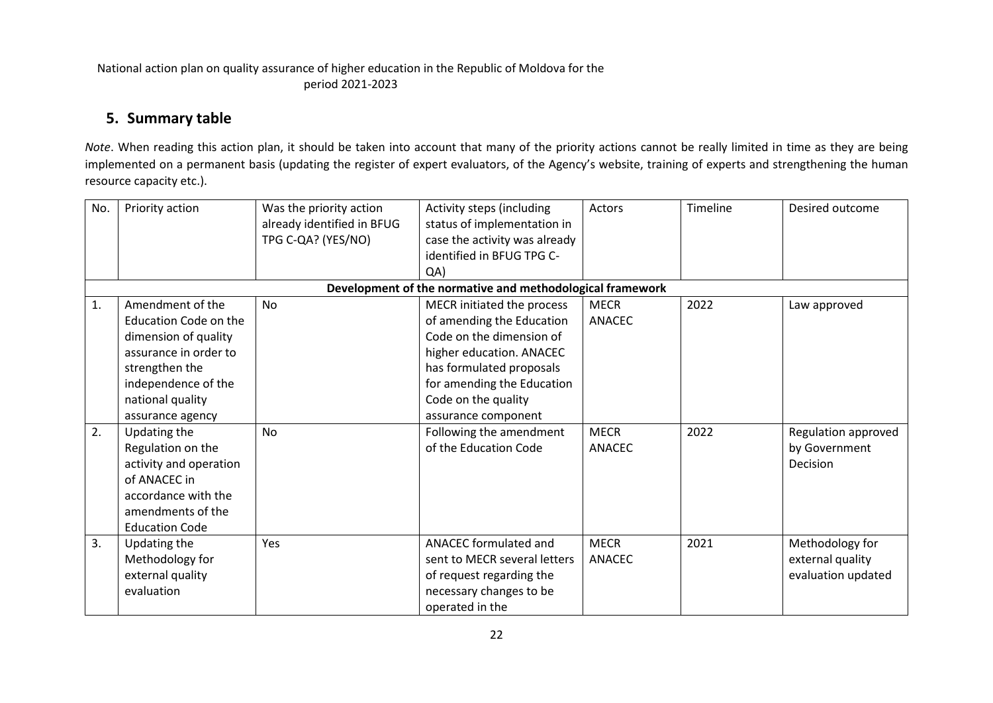## **5. Summary table**

*Note*. When reading this action plan, it should be taken into account that many of the priority actions cannot be really limited in time as they are being implemented on a permanent basis (updating the register of expert evaluators, of the Agency's website, training of experts and strengthening the human resource capacity etc.).

<span id="page-21-0"></span>

| No. | Priority action                                                                                                                                                             | Was the priority action<br>already identified in BFUG<br>TPG C-QA? (YES/NO) | Activity steps (including<br>status of implementation in<br>case the activity was already<br>identified in BFUG TPG C-<br>QA                                                                                            | Actors                       | Timeline | Desired outcome                                           |
|-----|-----------------------------------------------------------------------------------------------------------------------------------------------------------------------------|-----------------------------------------------------------------------------|-------------------------------------------------------------------------------------------------------------------------------------------------------------------------------------------------------------------------|------------------------------|----------|-----------------------------------------------------------|
|     |                                                                                                                                                                             |                                                                             | Development of the normative and methodological framework                                                                                                                                                               |                              |          |                                                           |
| 1.  | Amendment of the<br>Education Code on the<br>dimension of quality<br>assurance in order to<br>strengthen the<br>independence of the<br>national quality<br>assurance agency | <b>No</b>                                                                   | MECR initiated the process<br>of amending the Education<br>Code on the dimension of<br>higher education. ANACEC<br>has formulated proposals<br>for amending the Education<br>Code on the quality<br>assurance component | <b>MECR</b><br><b>ANACEC</b> | 2022     | Law approved                                              |
| 2.  | Updating the<br>Regulation on the<br>activity and operation<br>of ANACEC in<br>accordance with the<br>amendments of the<br><b>Education Code</b>                            | <b>No</b>                                                                   | Following the amendment<br>of the Education Code                                                                                                                                                                        | <b>MECR</b><br><b>ANACEC</b> | 2022     | Regulation approved<br>by Government<br>Decision          |
| 3.  | Updating the<br>Methodology for<br>external quality<br>evaluation                                                                                                           | Yes                                                                         | ANACEC formulated and<br>sent to MECR several letters<br>of request regarding the<br>necessary changes to be<br>operated in the                                                                                         | <b>MECR</b><br>ANACEC        | 2021     | Methodology for<br>external quality<br>evaluation updated |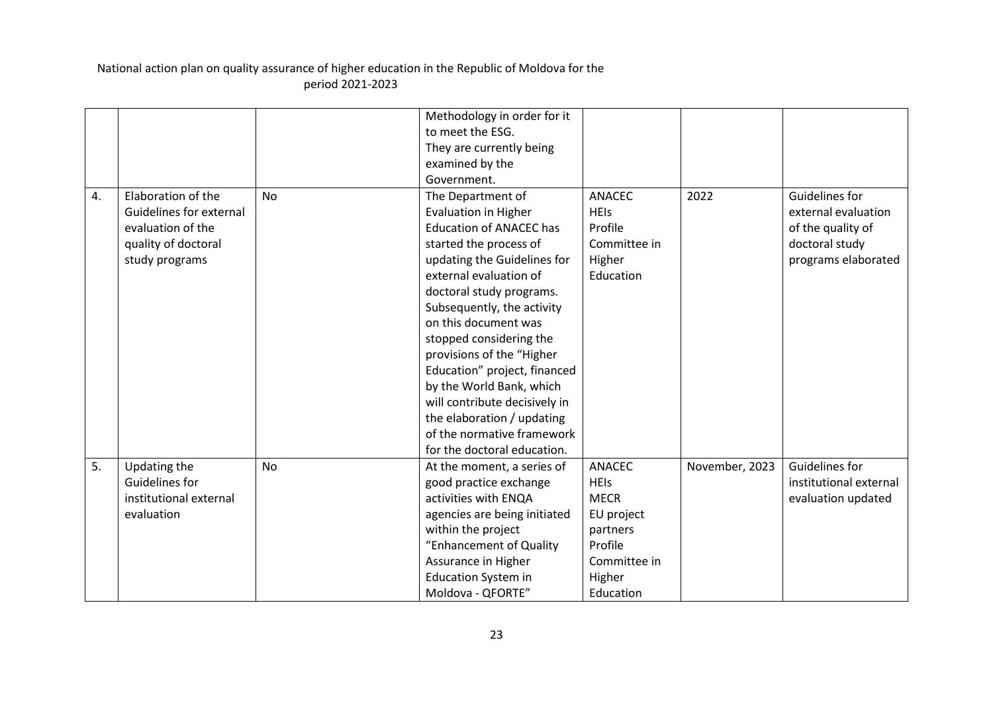|    |                         |           | Methodology in order for it    |               |                |                        |
|----|-------------------------|-----------|--------------------------------|---------------|----------------|------------------------|
|    |                         |           | to meet the ESG.               |               |                |                        |
|    |                         |           | They are currently being       |               |                |                        |
|    |                         |           | examined by the                |               |                |                        |
|    |                         |           | Government.                    |               |                |                        |
| 4. | Elaboration of the      | <b>No</b> | The Department of              | <b>ANACEC</b> | 2022           | Guidelines for         |
|    | Guidelines for external |           | <b>Evaluation in Higher</b>    | <b>HEIS</b>   |                | external evaluation    |
|    | evaluation of the       |           | <b>Education of ANACEC has</b> | Profile       |                | of the quality of      |
|    | quality of doctoral     |           | started the process of         | Committee in  |                | doctoral study         |
|    | study programs          |           | updating the Guidelines for    | Higher        |                | programs elaborated    |
|    |                         |           | external evaluation of         | Education     |                |                        |
|    |                         |           | doctoral study programs.       |               |                |                        |
|    |                         |           | Subsequently, the activity     |               |                |                        |
|    |                         |           | on this document was           |               |                |                        |
|    |                         |           | stopped considering the        |               |                |                        |
|    |                         |           | provisions of the "Higher      |               |                |                        |
|    |                         |           | Education" project, financed   |               |                |                        |
|    |                         |           | by the World Bank, which       |               |                |                        |
|    |                         |           | will contribute decisively in  |               |                |                        |
|    |                         |           | the elaboration / updating     |               |                |                        |
|    |                         |           | of the normative framework     |               |                |                        |
|    |                         |           | for the doctoral education.    |               |                |                        |
| 5. | Updating the            | <b>No</b> | At the moment, a series of     | <b>ANACEC</b> | November, 2023 | <b>Guidelines for</b>  |
|    | Guidelines for          |           | good practice exchange         | <b>HEIs</b>   |                | institutional external |
|    | institutional external  |           | activities with ENQA           | <b>MECR</b>   |                | evaluation updated     |
|    | evaluation              |           | agencies are being initiated   | EU project    |                |                        |
|    |                         |           | within the project             | partners      |                |                        |
|    |                         |           | "Enhancement of Quality        | Profile       |                |                        |
|    |                         |           | Assurance in Higher            | Committee in  |                |                        |
|    |                         |           | <b>Education System in</b>     | Higher        |                |                        |
|    |                         |           | Moldova - QFORTE"              | Education     |                |                        |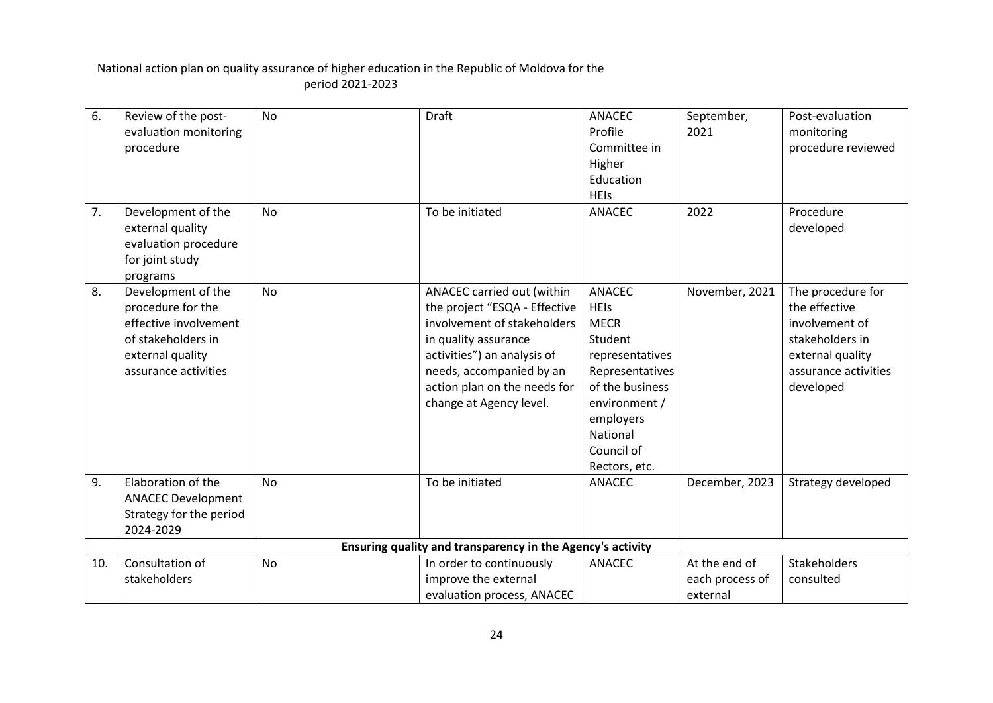| 6.  | Review of the post-<br>evaluation monitoring<br>procedure                                                                          | <b>No</b> | <b>Draft</b>                                                                                                                                                                                                                             | <b>ANACEC</b><br>Profile<br>Committee in<br>Higher<br>Education<br><b>HEIs</b>                                                                                                           | September,<br>2021                           | Post-evaluation<br>monitoring<br>procedure reviewed                                                                              |
|-----|------------------------------------------------------------------------------------------------------------------------------------|-----------|------------------------------------------------------------------------------------------------------------------------------------------------------------------------------------------------------------------------------------------|------------------------------------------------------------------------------------------------------------------------------------------------------------------------------------------|----------------------------------------------|----------------------------------------------------------------------------------------------------------------------------------|
| 7.  | Development of the<br>external quality<br>evaluation procedure<br>for joint study<br>programs                                      | <b>No</b> | To be initiated                                                                                                                                                                                                                          | <b>ANACEC</b>                                                                                                                                                                            | 2022                                         | Procedure<br>developed                                                                                                           |
| 8.  | Development of the<br>procedure for the<br>effective involvement<br>of stakeholders in<br>external quality<br>assurance activities | <b>No</b> | ANACEC carried out (within<br>the project "ESQA - Effective<br>involvement of stakeholders<br>in quality assurance<br>activities") an analysis of<br>needs, accompanied by an<br>action plan on the needs for<br>change at Agency level. | <b>ANACEC</b><br><b>HEIs</b><br><b>MECR</b><br>Student<br>representatives<br>Representatives<br>of the business<br>environment /<br>employers<br>National<br>Council of<br>Rectors, etc. | November, 2021                               | The procedure for<br>the effective<br>involvement of<br>stakeholders in<br>external quality<br>assurance activities<br>developed |
| 9.  | Elaboration of the<br><b>ANACEC Development</b><br>Strategy for the period<br>2024-2029                                            | <b>No</b> | To be initiated                                                                                                                                                                                                                          | <b>ANACEC</b>                                                                                                                                                                            | December, 2023                               | Strategy developed                                                                                                               |
|     |                                                                                                                                    |           | Ensuring quality and transparency in the Agency's activity                                                                                                                                                                               |                                                                                                                                                                                          |                                              |                                                                                                                                  |
| 10. | Consultation of<br>stakeholders                                                                                                    | <b>No</b> | In order to continuously<br>improve the external<br>evaluation process, ANACEC                                                                                                                                                           | <b>ANACEC</b>                                                                                                                                                                            | At the end of<br>each process of<br>external | <b>Stakeholders</b><br>consulted                                                                                                 |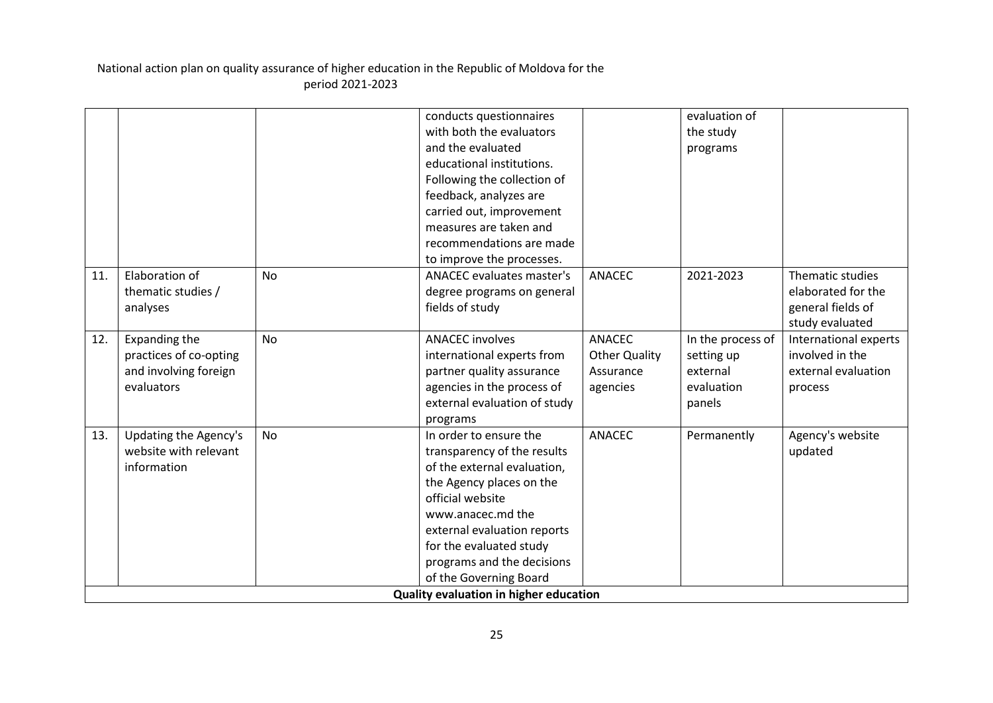|     |                        |           | conducts questionnaires                |                      | evaluation of     |                       |
|-----|------------------------|-----------|----------------------------------------|----------------------|-------------------|-----------------------|
|     |                        |           | with both the evaluators               |                      | the study         |                       |
|     |                        |           | and the evaluated                      |                      | programs          |                       |
|     |                        |           | educational institutions.              |                      |                   |                       |
|     |                        |           | Following the collection of            |                      |                   |                       |
|     |                        |           | feedback, analyzes are                 |                      |                   |                       |
|     |                        |           | carried out, improvement               |                      |                   |                       |
|     |                        |           | measures are taken and                 |                      |                   |                       |
|     |                        |           | recommendations are made               |                      |                   |                       |
|     |                        |           | to improve the processes.              |                      |                   |                       |
| 11. | Elaboration of         | <b>No</b> | <b>ANACEC</b> evaluates master's       | <b>ANACEC</b>        | 2021-2023         | Thematic studies      |
|     | thematic studies /     |           | degree programs on general             |                      |                   | elaborated for the    |
|     | analyses               |           | fields of study                        |                      |                   | general fields of     |
|     |                        |           |                                        |                      |                   | study evaluated       |
| 12. | Expanding the          | <b>No</b> | <b>ANACEC</b> involves                 | <b>ANACEC</b>        | In the process of | International experts |
|     | practices of co-opting |           | international experts from             | <b>Other Quality</b> | setting up        | involved in the       |
|     | and involving foreign  |           | partner quality assurance              | Assurance            | external          | external evaluation   |
|     | evaluators             |           | agencies in the process of             | agencies             | evaluation        | process               |
|     |                        |           | external evaluation of study           |                      | panels            |                       |
|     |                        |           | programs                               |                      |                   |                       |
| 13. | Updating the Agency's  | <b>No</b> | In order to ensure the                 | <b>ANACEC</b>        | Permanently       | Agency's website      |
|     | website with relevant  |           | transparency of the results            |                      |                   | updated               |
|     | information            |           | of the external evaluation,            |                      |                   |                       |
|     |                        |           | the Agency places on the               |                      |                   |                       |
|     |                        |           | official website                       |                      |                   |                       |
|     |                        |           | www.anacec.md the                      |                      |                   |                       |
|     |                        |           | external evaluation reports            |                      |                   |                       |
|     |                        |           | for the evaluated study                |                      |                   |                       |
|     |                        |           | programs and the decisions             |                      |                   |                       |
|     |                        |           | of the Governing Board                 |                      |                   |                       |
|     |                        |           | Quality evaluation in higher education |                      |                   |                       |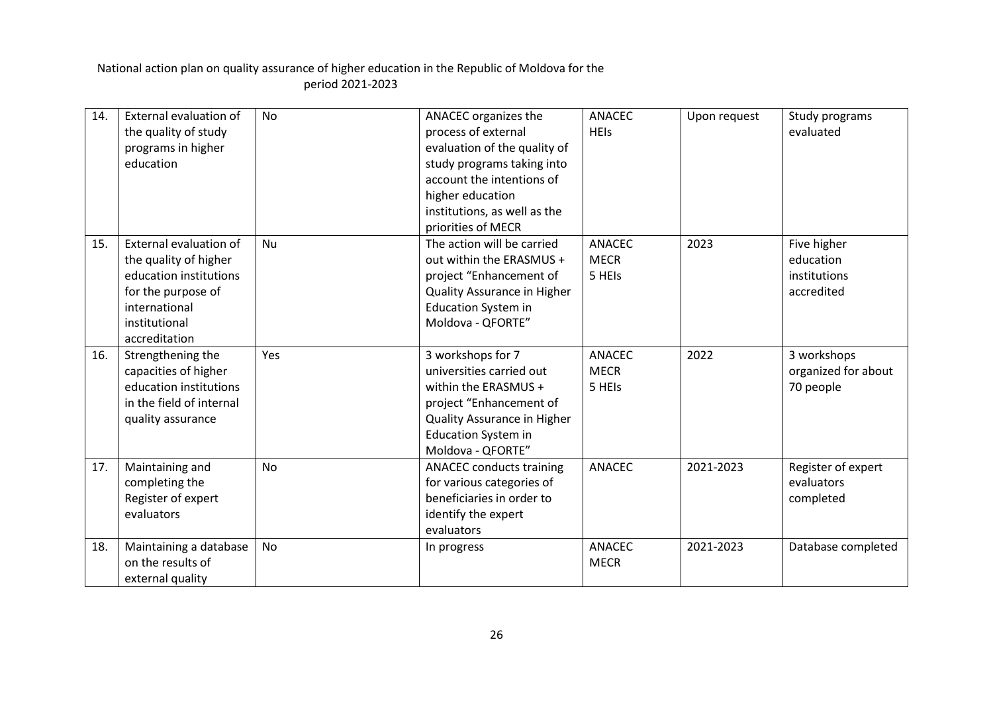| 14. | External evaluation of        | <b>No</b> | ANACEC organizes the            | <b>ANACEC</b> | Upon request | Study programs      |
|-----|-------------------------------|-----------|---------------------------------|---------------|--------------|---------------------|
|     | the quality of study          |           | process of external             | <b>HEIs</b>   |              | evaluated           |
|     | programs in higher            |           | evaluation of the quality of    |               |              |                     |
|     | education                     |           | study programs taking into      |               |              |                     |
|     |                               |           | account the intentions of       |               |              |                     |
|     |                               |           | higher education                |               |              |                     |
|     |                               |           | institutions, as well as the    |               |              |                     |
|     |                               |           | priorities of MECR              |               |              |                     |
| 15. | <b>External evaluation of</b> | Nu        | The action will be carried      | <b>ANACEC</b> | 2023         | Five higher         |
|     | the quality of higher         |           | out within the ERASMUS +        | <b>MECR</b>   |              | education           |
|     | education institutions        |           | project "Enhancement of         | 5 HEIs        |              | institutions        |
|     | for the purpose of            |           | Quality Assurance in Higher     |               |              | accredited          |
|     | international                 |           | <b>Education System in</b>      |               |              |                     |
|     | institutional                 |           | Moldova - QFORTE"               |               |              |                     |
|     | accreditation                 |           |                                 |               |              |                     |
| 16. | Strengthening the             | Yes       | 3 workshops for 7               | <b>ANACEC</b> | 2022         | 3 workshops         |
|     | capacities of higher          |           | universities carried out        | <b>MECR</b>   |              | organized for about |
|     | education institutions        |           | within the ERASMUS +            | 5 HEIs        |              | 70 people           |
|     | in the field of internal      |           | project "Enhancement of         |               |              |                     |
|     | quality assurance             |           | Quality Assurance in Higher     |               |              |                     |
|     |                               |           | <b>Education System in</b>      |               |              |                     |
|     |                               |           | Moldova - QFORTE"               |               |              |                     |
| 17. | Maintaining and               | No        | <b>ANACEC</b> conducts training | <b>ANACEC</b> | 2021-2023    | Register of expert  |
|     | completing the                |           | for various categories of       |               |              | evaluators          |
|     | Register of expert            |           | beneficiaries in order to       |               |              | completed           |
|     | evaluators                    |           | identify the expert             |               |              |                     |
|     |                               |           | evaluators                      |               |              |                     |
| 18. | Maintaining a database        | No        | In progress                     | <b>ANACEC</b> | 2021-2023    | Database completed  |
|     | on the results of             |           |                                 | <b>MECR</b>   |              |                     |
|     | external quality              |           |                                 |               |              |                     |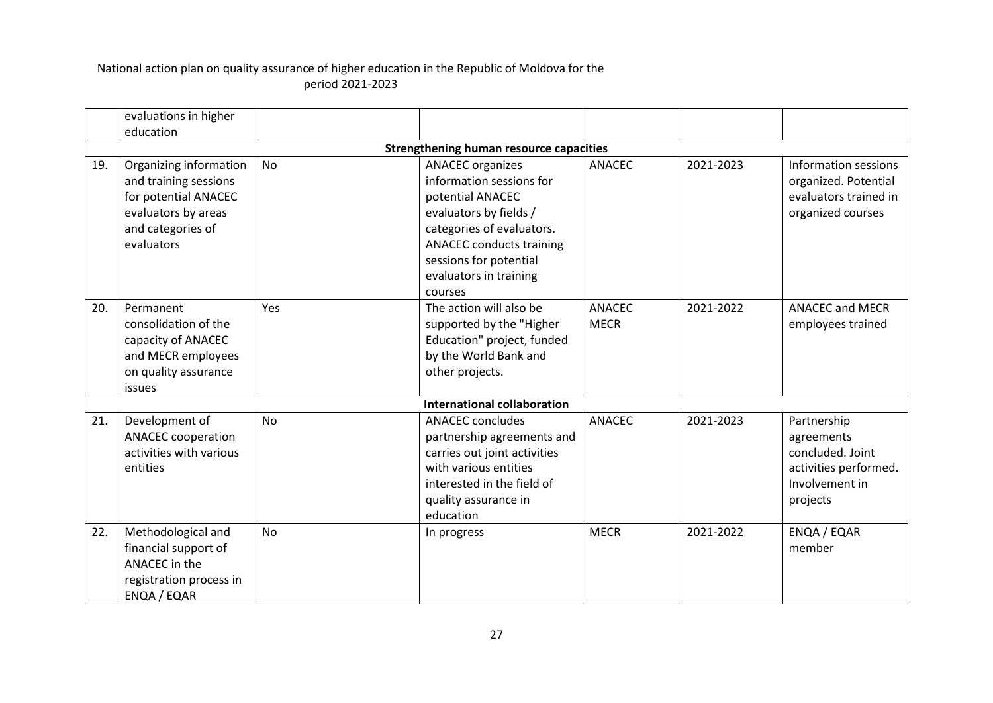|     | evaluations in higher                                                                                                             |           |                                                                                                                                                                                                                                  |                              |           |                                                                                                      |
|-----|-----------------------------------------------------------------------------------------------------------------------------------|-----------|----------------------------------------------------------------------------------------------------------------------------------------------------------------------------------------------------------------------------------|------------------------------|-----------|------------------------------------------------------------------------------------------------------|
|     | education                                                                                                                         |           |                                                                                                                                                                                                                                  |                              |           |                                                                                                      |
|     |                                                                                                                                   |           | <b>Strengthening human resource capacities</b>                                                                                                                                                                                   |                              |           |                                                                                                      |
| 19. | Organizing information<br>and training sessions<br>for potential ANACEC<br>evaluators by areas<br>and categories of<br>evaluators | <b>No</b> | <b>ANACEC</b> organizes<br>information sessions for<br>potential ANACEC<br>evaluators by fields /<br>categories of evaluators.<br><b>ANACEC conducts training</b><br>sessions for potential<br>evaluators in training<br>courses | <b>ANACEC</b>                | 2021-2023 | Information sessions<br>organized. Potential<br>evaluators trained in<br>organized courses           |
| 20. | Permanent<br>consolidation of the<br>capacity of ANACEC<br>and MECR employees<br>on quality assurance<br>issues                   | Yes       | The action will also be<br>supported by the "Higher<br>Education" project, funded<br>by the World Bank and<br>other projects.                                                                                                    | <b>ANACEC</b><br><b>MECR</b> | 2021-2022 | <b>ANACEC and MECR</b><br>employees trained                                                          |
|     |                                                                                                                                   |           | <b>International collaboration</b>                                                                                                                                                                                               |                              |           |                                                                                                      |
| 21. | Development of<br><b>ANACEC</b> cooperation<br>activities with various<br>entities                                                | No        | <b>ANACEC</b> concludes<br>partnership agreements and<br>carries out joint activities<br>with various entities<br>interested in the field of<br>quality assurance in<br>education                                                | <b>ANACEC</b>                | 2021-2023 | Partnership<br>agreements<br>concluded. Joint<br>activities performed.<br>Involvement in<br>projects |
| 22. | Methodological and<br>financial support of<br>ANACEC in the<br>registration process in<br>ENQA / EQAR                             | <b>No</b> | In progress                                                                                                                                                                                                                      | <b>MECR</b>                  | 2021-2022 | ENQA / EQAR<br>member                                                                                |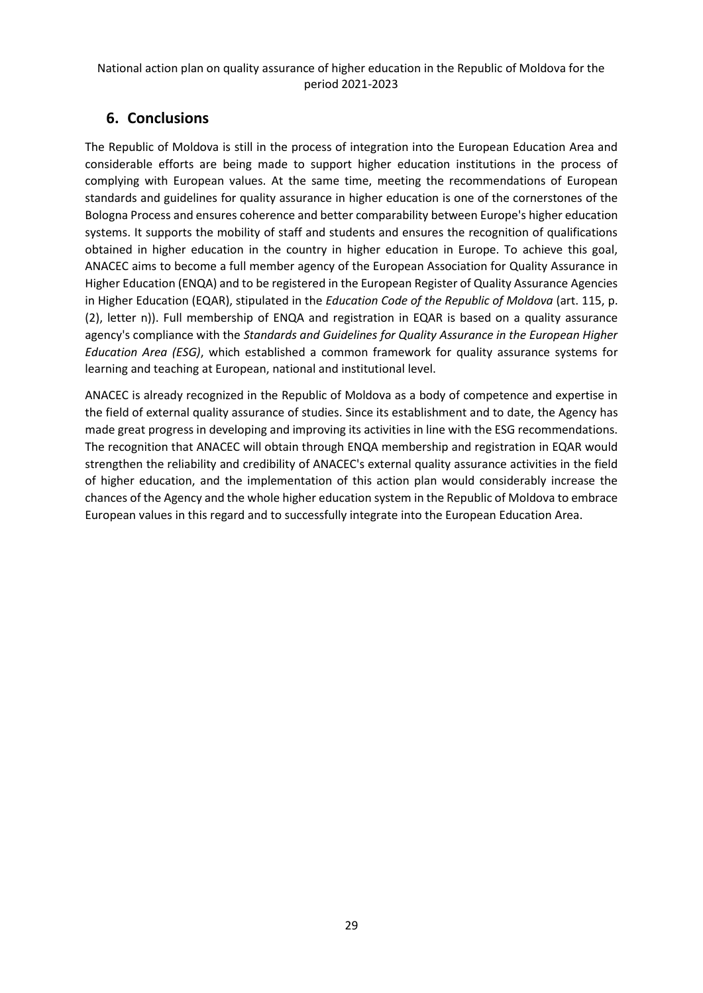## <span id="page-28-0"></span>**6. Conclusions**

The Republic of Moldova is still in the process of integration into the European Education Area and considerable efforts are being made to support higher education institutions in the process of complying with European values. At the same time, meeting the recommendations of European standards and guidelines for quality assurance in higher education is one of the cornerstones of the Bologna Process and ensures coherence and better comparability between Europe's higher education systems. It supports the mobility of staff and students and ensures the recognition of qualifications obtained in higher education in the country in higher education in Europe. To achieve this goal, ANACEC aims to become a full member agency of the European Association for Quality Assurance in Higher Education (ENQA) and to be registered in the European Register of Quality Assurance Agencies in Higher Education (EQAR), stipulated in the *Education Code of the Republic of Moldova* (art. 115, p. (2), letter n)). Full membership of ENQA and registration in EQAR is based on a quality assurance agency's compliance with the *Standards and Guidelines for Quality Assurance in the European Higher Education Area (ESG)*, which established a common framework for quality assurance systems for learning and teaching at European, national and institutional level.

ANACEC is already recognized in the Republic of Moldova as a body of competence and expertise in the field of external quality assurance of studies. Since its establishment and to date, the Agency has made great progress in developing and improving its activities in line with the ESG recommendations. The recognition that ANACEC will obtain through ENQA membership and registration in EQAR would strengthen the reliability and credibility of ANACEC's external quality assurance activities in the field of higher education, and the implementation of this action plan would considerably increase the chances of the Agency and the whole higher education system in the Republic of Moldova to embrace European values in this regard and to successfully integrate into the European Education Area.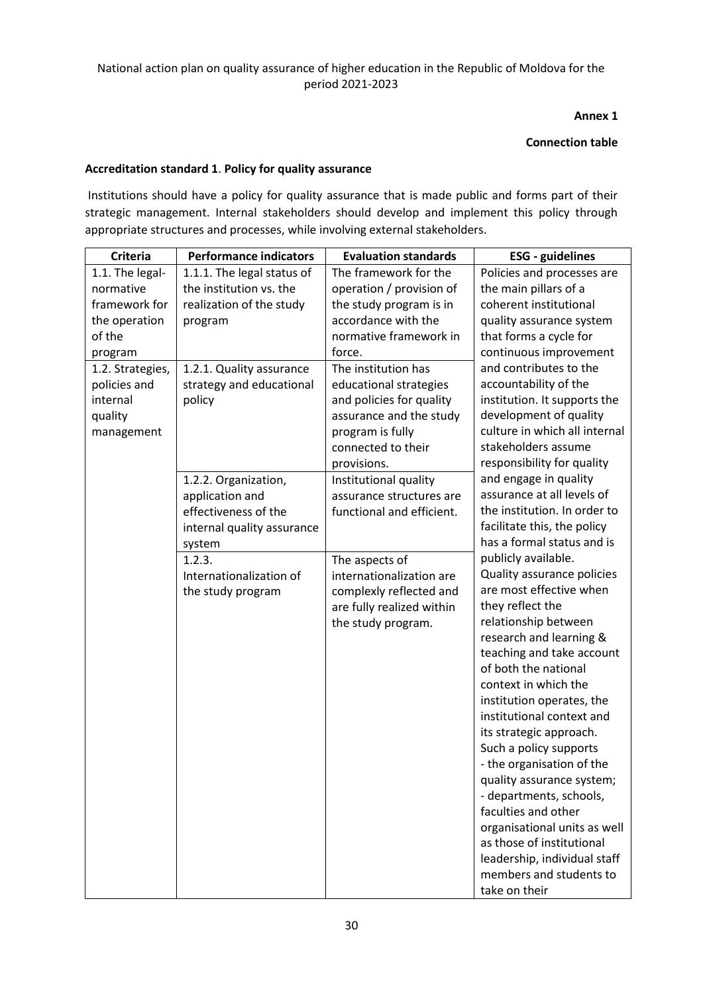### **Annex 1**

#### **Connection table**

#### **Accreditation standard 1**. **Policy for quality assurance**

Institutions should have a policy for quality assurance that is made public and forms part of their strategic management. Internal stakeholders should develop and implement this policy through appropriate structures and processes, while involving external stakeholders.

| <b>Criteria</b>  | <b>Performance indicators</b> | <b>Evaluation standards</b> | <b>ESG</b> - guidelines       |
|------------------|-------------------------------|-----------------------------|-------------------------------|
| 1.1. The legal-  | 1.1.1. The legal status of    | The framework for the       | Policies and processes are    |
| normative        | the institution vs. the       | operation / provision of    | the main pillars of a         |
| framework for    | realization of the study      | the study program is in     | coherent institutional        |
| the operation    | program                       | accordance with the         | quality assurance system      |
| of the           |                               | normative framework in      | that forms a cycle for        |
| program          |                               | force.                      | continuous improvement        |
| 1.2. Strategies, | 1.2.1. Quality assurance      | The institution has         | and contributes to the        |
| policies and     | strategy and educational      | educational strategies      | accountability of the         |
| internal         | policy                        | and policies for quality    | institution. It supports the  |
| quality          |                               | assurance and the study     | development of quality        |
| management       |                               | program is fully            | culture in which all internal |
|                  |                               | connected to their          | stakeholders assume           |
|                  |                               | provisions.                 | responsibility for quality    |
|                  | 1.2.2. Organization,          | Institutional quality       | and engage in quality         |
|                  | application and               | assurance structures are    | assurance at all levels of    |
|                  | effectiveness of the          | functional and efficient.   | the institution. In order to  |
|                  | internal quality assurance    |                             | facilitate this, the policy   |
|                  | system                        |                             | has a formal status and is    |
|                  | 1.2.3.                        | The aspects of              | publicly available.           |
|                  | Internationalization of       | internationalization are    | Quality assurance policies    |
|                  | the study program             | complexly reflected and     | are most effective when       |
|                  |                               | are fully realized within   | they reflect the              |
|                  |                               | the study program.          | relationship between          |
|                  |                               |                             | research and learning &       |
|                  |                               |                             | teaching and take account     |
|                  |                               |                             | of both the national          |
|                  |                               |                             | context in which the          |
|                  |                               |                             | institution operates, the     |
|                  |                               |                             | institutional context and     |
|                  |                               |                             | its strategic approach.       |
|                  |                               |                             | Such a policy supports        |
|                  |                               |                             | - the organisation of the     |
|                  |                               |                             | quality assurance system;     |
|                  |                               |                             | - departments, schools,       |
|                  |                               |                             | faculties and other           |
|                  |                               |                             | organisational units as well  |
|                  |                               |                             | as those of institutional     |
|                  |                               |                             | leadership, individual staff  |
|                  |                               |                             | members and students to       |
|                  |                               |                             | take on their                 |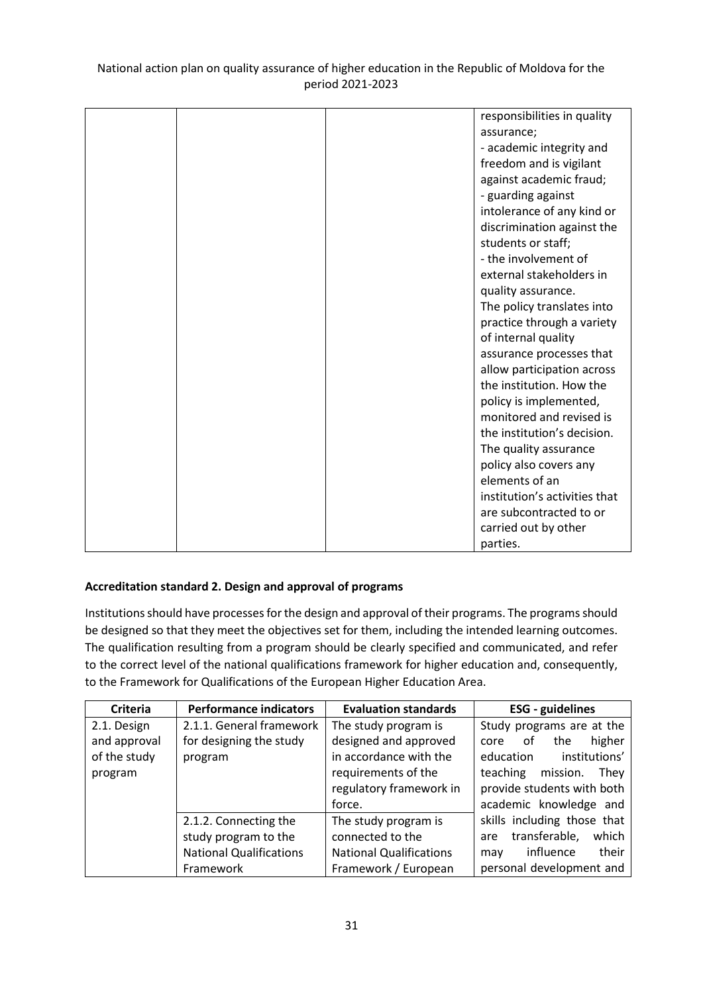|  | responsibilities in quality   |
|--|-------------------------------|
|  | assurance;                    |
|  | - academic integrity and      |
|  | freedom and is vigilant       |
|  | against academic fraud;       |
|  | - guarding against            |
|  | intolerance of any kind or    |
|  | discrimination against the    |
|  | students or staff;            |
|  | - the involvement of          |
|  | external stakeholders in      |
|  | quality assurance.            |
|  | The policy translates into    |
|  | practice through a variety    |
|  | of internal quality           |
|  | assurance processes that      |
|  | allow participation across    |
|  | the institution. How the      |
|  | policy is implemented,        |
|  | monitored and revised is      |
|  | the institution's decision.   |
|  | The quality assurance         |
|  | policy also covers any        |
|  | elements of an                |
|  | institution's activities that |
|  | are subcontracted to or       |
|  | carried out by other          |
|  | parties.                      |

### **Accreditation standard 2. Design and approval of programs**

Institutions should have processes for the design and approval of their programs. The programs should be designed so that they meet the objectives set for them, including the intended learning outcomes. The qualification resulting from a program should be clearly specified and communicated, and refer to the correct level of the national qualifications framework for higher education and, consequently, to the Framework for Qualifications of the European Higher Education Area.

| Criteria     | <b>Performance indicators</b>  | <b>Evaluation standards</b>    | <b>ESG</b> - guidelines       |
|--------------|--------------------------------|--------------------------------|-------------------------------|
| 2.1. Design  | 2.1.1. General framework       | The study program is           | Study programs are at the     |
| and approval | for designing the study        | designed and approved          | higher<br>the<br>core<br>0t   |
| of the study | program                        | in accordance with the         | institutions'<br>education    |
| program      |                                | requirements of the            | teaching<br>mission.<br>They  |
|              |                                | regulatory framework in        | provide students with both    |
|              |                                | force.                         | academic knowledge and        |
|              | 2.1.2. Connecting the          | The study program is           | skills including those that   |
|              | study program to the           | connected to the               | transferable,<br>which<br>are |
|              | <b>National Qualifications</b> | <b>National Qualifications</b> | influence<br>their<br>may     |
|              | Framework                      | Framework / European           | personal development and      |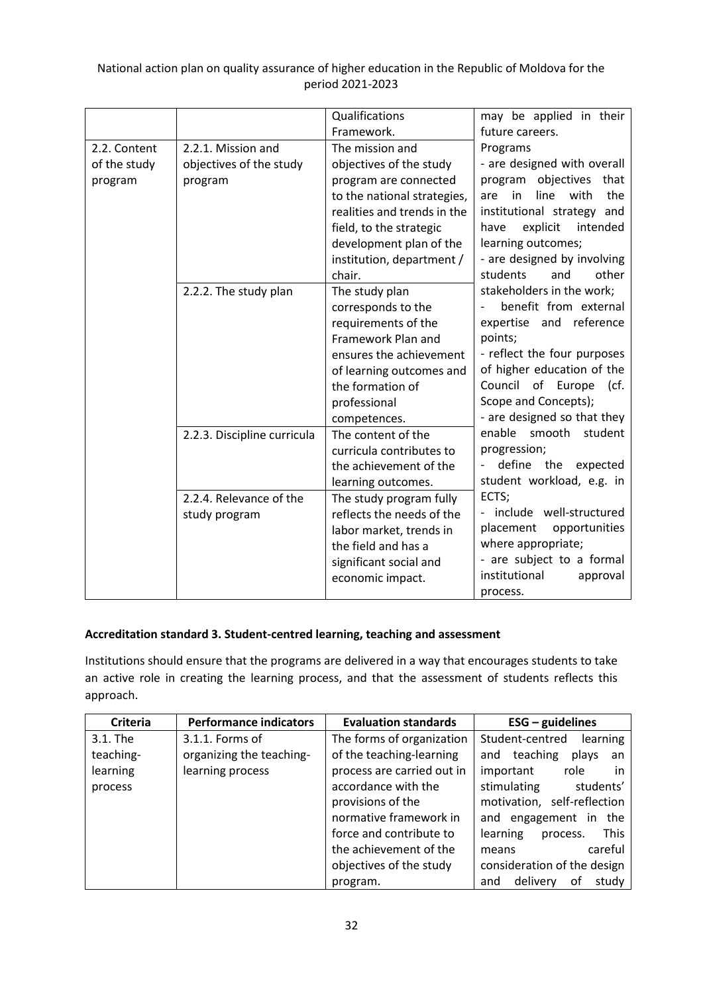|              |                             | Qualifications              | may be applied in their          |
|--------------|-----------------------------|-----------------------------|----------------------------------|
|              |                             | Framework.                  | future careers.                  |
| 2.2. Content | 2.2.1. Mission and          | The mission and             | Programs                         |
| of the study | objectives of the study     | objectives of the study     | - are designed with overall      |
| program      | program                     | program are connected       | program objectives that          |
|              |                             | to the national strategies, | with<br>the<br>in<br>line<br>are |
|              |                             | realities and trends in the | institutional strategy and       |
|              |                             | field, to the strategic     | explicit<br>intended<br>have     |
|              |                             | development plan of the     | learning outcomes;               |
|              |                             | institution, department /   | - are designed by involving      |
|              |                             | chair.                      | other<br>students<br>and         |
|              | 2.2.2. The study plan       | The study plan              | stakeholders in the work;        |
|              |                             | corresponds to the          | benefit from external            |
|              |                             | requirements of the         | expertise and reference          |
|              |                             | Framework Plan and          | points;                          |
|              |                             | ensures the achievement     | - reflect the four purposes      |
|              |                             | of learning outcomes and    | of higher education of the       |
|              |                             | the formation of            | Council of Europe<br>(cf.        |
|              |                             | professional                | Scope and Concepts);             |
|              |                             | competences.                | - are designed so that they      |
|              | 2.2.3. Discipline curricula | The content of the          | enable smooth<br>student         |
|              |                             | curricula contributes to    | progression;                     |
|              |                             | the achievement of the      | define the<br>expected           |
|              |                             | learning outcomes.          | student workload, e.g. in        |
|              | 2.2.4. Relevance of the     | The study program fully     | ECTS;                            |
|              | study program               | reflects the needs of the   | - include well-structured        |
|              |                             | labor market, trends in     | placement<br>opportunities       |
|              |                             | the field and has a         | where appropriate;               |
|              |                             | significant social and      | - are subject to a formal        |
|              |                             | economic impact.            | institutional<br>approval        |
|              |                             |                             | process.                         |

### **Accreditation standard 3. Student-centred learning, teaching and assessment**

Institutions should ensure that the programs are delivered in a way that encourages students to take an active role in creating the learning process, and that the assessment of students reflects this approach.

| <b>Criteria</b> | <b>Performance indicators</b> | <b>Evaluation standards</b> | $ESG - guidelines$             |
|-----------------|-------------------------------|-----------------------------|--------------------------------|
| 3.1. The        | 3.1.1. Forms of               | The forms of organization   | Student-centred<br>learning    |
| teaching-       | organizing the teaching-      | of the teaching-learning    | teaching<br>plays<br>and<br>an |
| learning        | learning process              | process are carried out in  | important<br>role<br>in        |
| process         |                               | accordance with the         | stimulating<br>students'       |
|                 |                               | provisions of the           | motivation, self-reflection    |
|                 |                               | normative framework in      | and engagement in the          |
|                 |                               | force and contribute to     | This<br>learning<br>process.   |
|                 |                               | the achievement of the      | careful<br>means               |
|                 |                               | objectives of the study     | consideration of the design    |
|                 |                               | program.                    | delivery<br>οf<br>study<br>and |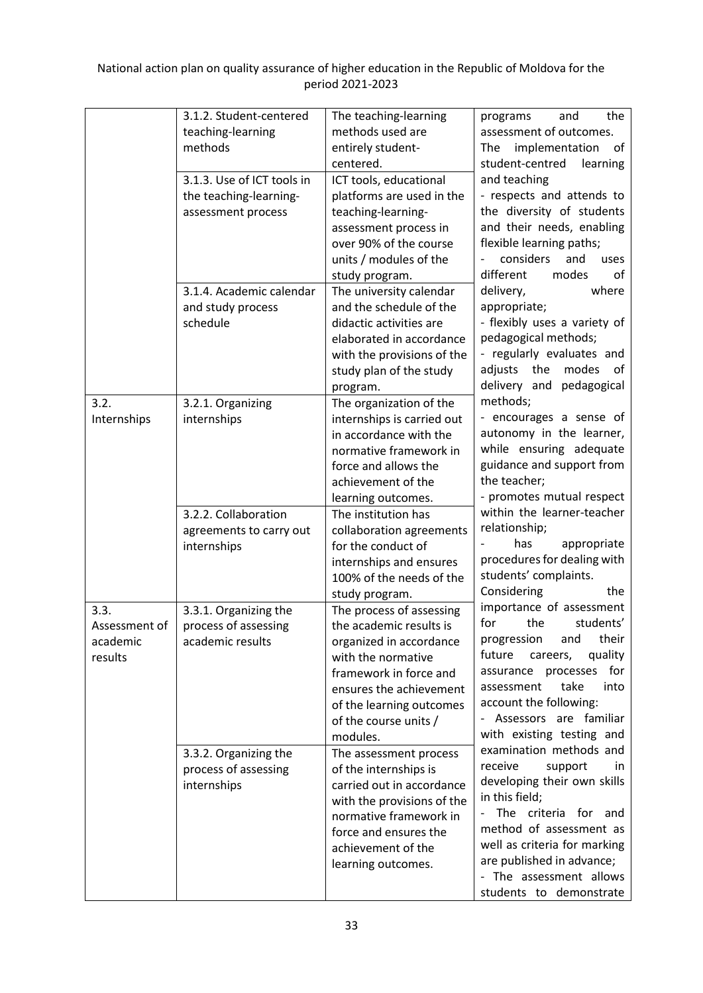|               | 3.1.2. Student-centered       | The teaching-learning      | the<br>programs<br>and        |
|---------------|-------------------------------|----------------------------|-------------------------------|
|               | teaching-learning             | methods used are           | assessment of outcomes.       |
|               | methods                       | entirely student-          | implementation<br>The<br>of   |
|               |                               | centered.                  | student-centred<br>learning   |
|               | 3.1.3. Use of ICT tools in    | ICT tools, educational     | and teaching                  |
|               | the teaching-learning-        | platforms are used in the  | - respects and attends to     |
|               | assessment process            | teaching-learning-         | the diversity of students     |
|               |                               | assessment process in      | and their needs, enabling     |
|               |                               | over 90% of the course     | flexible learning paths;      |
|               |                               | units / modules of the     | considers<br>and<br>uses      |
|               |                               | study program.             | different<br>modes<br>of      |
|               | 3.1.4. Academic calendar      | The university calendar    | delivery,<br>where            |
|               |                               | and the schedule of the    | appropriate;                  |
|               | and study process<br>schedule |                            | - flexibly uses a variety of  |
|               |                               | didactic activities are    | pedagogical methods;          |
|               |                               | elaborated in accordance   |                               |
|               |                               | with the provisions of the | - regularly evaluates and     |
|               |                               | study plan of the study    | modes<br>adjusts the<br>οf    |
|               |                               | program.                   | delivery and<br>pedagogical   |
| 3.2.          | 3.2.1. Organizing             | The organization of the    | methods;                      |
| Internships   | internships                   | internships is carried out | - encourages a sense of       |
|               |                               | in accordance with the     | autonomy in the learner,      |
|               |                               | normative framework in     | while ensuring adequate       |
|               |                               | force and allows the       | guidance and support from     |
|               |                               | achievement of the         | the teacher;                  |
|               |                               | learning outcomes.         | - promotes mutual respect     |
|               | 3.2.2. Collaboration          | The institution has        | within the learner-teacher    |
|               | agreements to carry out       | collaboration agreements   | relationship;                 |
|               | internships                   | for the conduct of         | appropriate<br>has            |
|               |                               | internships and ensures    | procedures for dealing with   |
|               |                               | 100% of the needs of the   | students' complaints.         |
|               |                               | study program.             | Considering<br>the            |
| 3.3.          | 3.3.1. Organizing the         | The process of assessing   | importance of assessment      |
| Assessment of | process of assessing          | the academic results is    | for<br>the<br>students'       |
| academic      | academic results              | organized in accordance    | their<br>progression<br>and   |
| results       |                               | with the normative         | future<br>quality<br>careers, |
|               |                               | framework in force and     | for<br>assurance processes    |
|               |                               | ensures the achievement    | take<br>assessment<br>into    |
|               |                               | of the learning outcomes   | account the following:        |
|               |                               | of the course units /      | - Assessors are familiar      |
|               |                               | modules.                   | with existing testing and     |
|               | 3.3.2. Organizing the         | The assessment process     | examination methods and       |
|               | process of assessing          | of the internships is      | receive<br>support<br>in.     |
|               | internships                   | carried out in accordance  | developing their own skills   |
|               |                               | with the provisions of the | in this field;                |
|               |                               | normative framework in     | The criteria for and          |
|               |                               | force and ensures the      | method of assessment as       |
|               |                               | achievement of the         | well as criteria for marking  |
|               |                               | learning outcomes.         | are published in advance;     |
|               |                               |                            | - The assessment allows       |
|               |                               |                            | students to demonstrate       |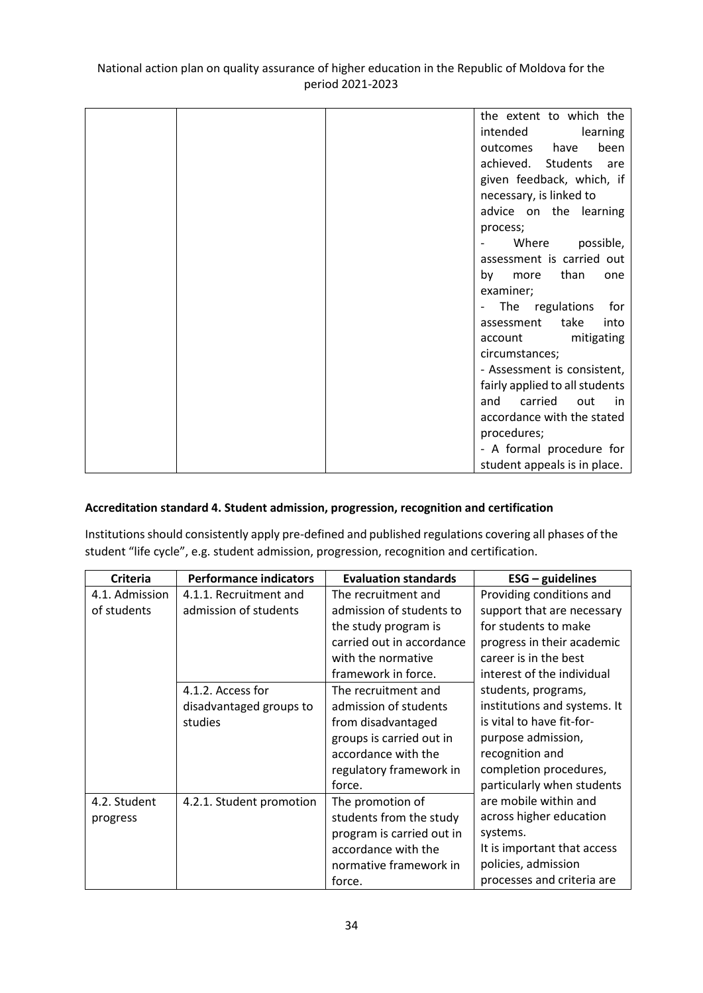|  | the extent to which the        |
|--|--------------------------------|
|  | intended<br>learning           |
|  | been<br>outcomes have          |
|  | achieved. Students<br>are      |
|  | given feedback, which, if      |
|  | necessary, is linked to        |
|  | advice on the learning         |
|  |                                |
|  | process;                       |
|  | Where<br>possible,             |
|  | assessment is carried out      |
|  | than<br>by<br>more<br>one      |
|  | examiner;                      |
|  | The regulations<br>for         |
|  | take<br>assessment<br>into     |
|  | mitigating<br>account          |
|  | circumstances;                 |
|  | - Assessment is consistent,    |
|  | fairly applied to all students |
|  | carried<br>and<br>out<br>in i  |
|  | accordance with the stated     |
|  | procedures;                    |
|  |                                |
|  | - A formal procedure for       |
|  | student appeals is in place.   |

### **Accreditation standard 4. Student admission, progression, recognition and certification**

Institutions should consistently apply pre-defined and published regulations covering all phases of the student "life cycle", e.g. student admission, progression, recognition and certification.

| <b>Criteria</b> | <b>Performance indicators</b> | <b>Evaluation standards</b> | $ESG - guidelines$           |
|-----------------|-------------------------------|-----------------------------|------------------------------|
| 4.1. Admission  | 4.1.1. Recruitment and        | The recruitment and         | Providing conditions and     |
| of students     | admission of students         | admission of students to    | support that are necessary   |
|                 |                               | the study program is        | for students to make         |
|                 |                               | carried out in accordance   | progress in their academic   |
|                 |                               | with the normative          | career is in the best        |
|                 |                               | framework in force.         | interest of the individual   |
|                 | 4.1.2. Access for             | The recruitment and         | students, programs,          |
|                 | disadvantaged groups to       | admission of students       | institutions and systems. It |
|                 | studies                       | from disadvantaged          | is vital to have fit-for-    |
|                 |                               | groups is carried out in    | purpose admission,           |
|                 |                               | accordance with the         | recognition and              |
|                 |                               | regulatory framework in     | completion procedures,       |
|                 |                               | force.                      | particularly when students   |
| 4.2. Student    | 4.2.1. Student promotion      | The promotion of            | are mobile within and        |
| progress        |                               | students from the study     | across higher education      |
|                 |                               | program is carried out in   | systems.                     |
|                 |                               | accordance with the         | It is important that access  |
|                 |                               | normative framework in      | policies, admission          |
|                 |                               | force.                      | processes and criteria are   |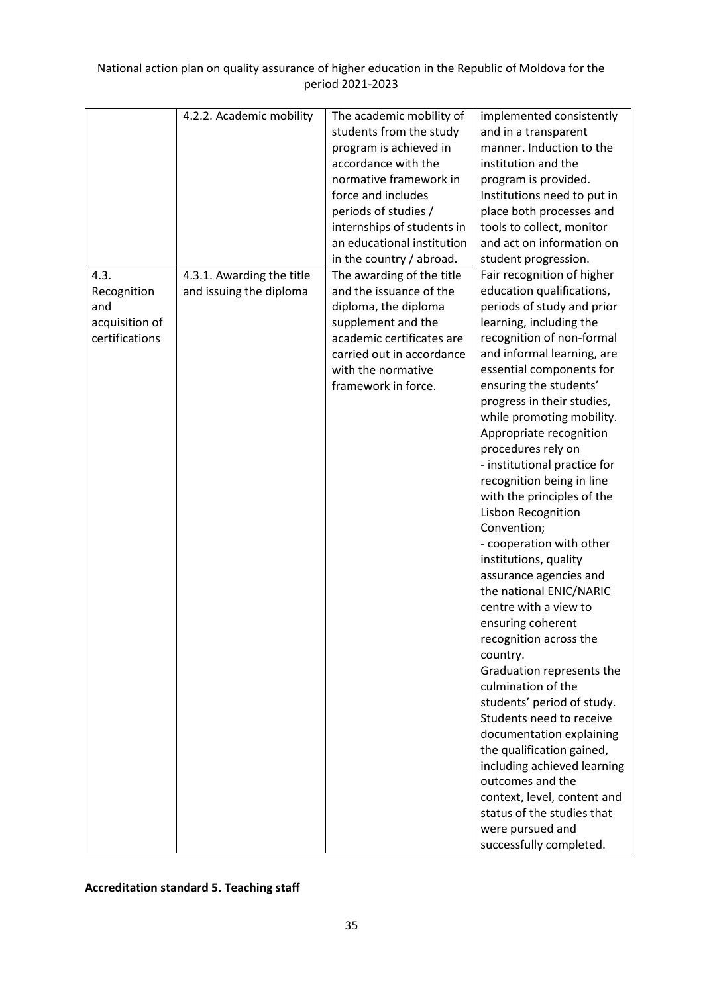|                | 4.2.2. Academic mobility  | The academic mobility of   | implemented consistently     |
|----------------|---------------------------|----------------------------|------------------------------|
|                |                           | students from the study    | and in a transparent         |
|                |                           | program is achieved in     | manner. Induction to the     |
|                |                           | accordance with the        | institution and the          |
|                |                           | normative framework in     | program is provided.         |
|                |                           | force and includes         | Institutions need to put in  |
|                |                           | periods of studies /       | place both processes and     |
|                |                           | internships of students in | tools to collect, monitor    |
|                |                           | an educational institution | and act on information on    |
|                |                           | in the country / abroad.   | student progression.         |
| 4.3.           | 4.3.1. Awarding the title | The awarding of the title  | Fair recognition of higher   |
| Recognition    | and issuing the diploma   | and the issuance of the    | education qualifications,    |
| and            |                           | diploma, the diploma       | periods of study and prior   |
| acquisition of |                           | supplement and the         | learning, including the      |
| certifications |                           | academic certificates are  | recognition of non-formal    |
|                |                           | carried out in accordance  | and informal learning, are   |
|                |                           | with the normative         | essential components for     |
|                |                           | framework in force.        | ensuring the students'       |
|                |                           |                            | progress in their studies,   |
|                |                           |                            | while promoting mobility.    |
|                |                           |                            | Appropriate recognition      |
|                |                           |                            | procedures rely on           |
|                |                           |                            | - institutional practice for |
|                |                           |                            | recognition being in line    |
|                |                           |                            | with the principles of the   |
|                |                           |                            | Lisbon Recognition           |
|                |                           |                            | Convention;                  |
|                |                           |                            | - cooperation with other     |
|                |                           |                            | institutions, quality        |
|                |                           |                            | assurance agencies and       |
|                |                           |                            | the national ENIC/NARIC      |
|                |                           |                            | centre with a view to        |
|                |                           |                            | ensuring coherent            |
|                |                           |                            | recognition across the       |
|                |                           |                            | country.                     |
|                |                           |                            | Graduation represents the    |
|                |                           |                            | culmination of the           |
|                |                           |                            | students' period of study.   |
|                |                           |                            | Students need to receive     |
|                |                           |                            | documentation explaining     |
|                |                           |                            | the qualification gained,    |
|                |                           |                            | including achieved learning  |
|                |                           |                            | outcomes and the             |
|                |                           |                            | context, level, content and  |
|                |                           |                            | status of the studies that   |
|                |                           |                            |                              |
|                |                           |                            | were pursued and             |
|                |                           |                            | successfully completed.      |

## **Accreditation standard 5. Teaching staff**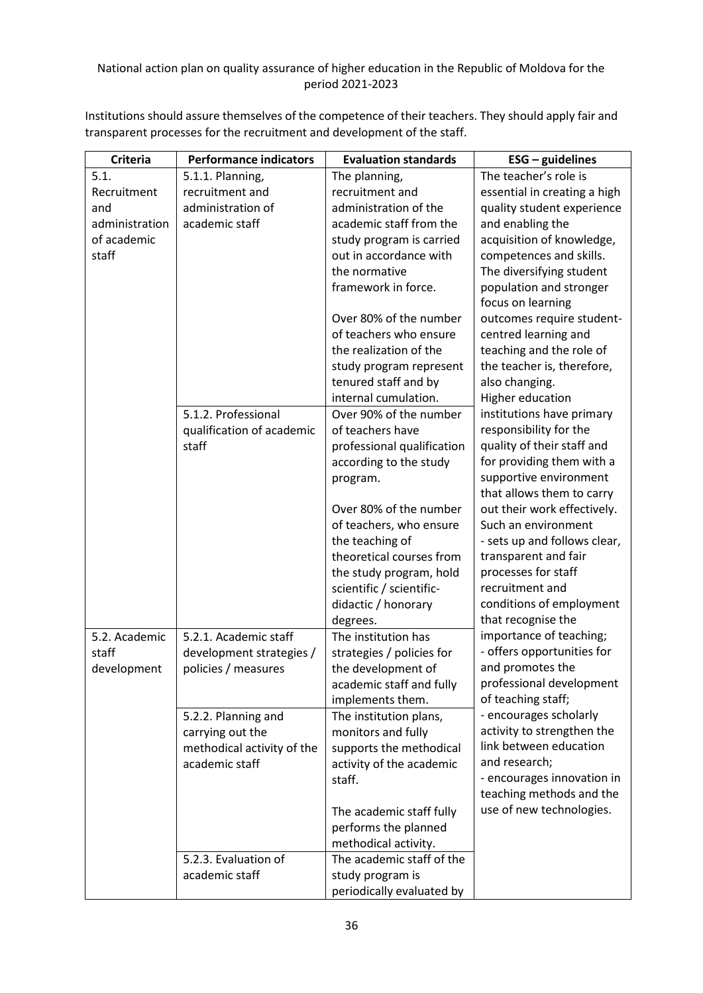Institutions should assure themselves of the competence of their teachers. They should apply fair and transparent processes for the recruitment and development of the staff.

| <b>Criteria</b> | <b>Performance indicators</b>                | <b>Evaluation standards</b> | $ESG - guidelines$                           |
|-----------------|----------------------------------------------|-----------------------------|----------------------------------------------|
| 5.1.            | 5.1.1. Planning,                             | The planning,               | The teacher's role is                        |
| Recruitment     | recruitment and                              | recruitment and             | essential in creating a high                 |
| and             | administration of                            | administration of the       | quality student experience                   |
| administration  | academic staff                               | academic staff from the     | and enabling the                             |
| of academic     |                                              | study program is carried    | acquisition of knowledge,                    |
| staff           |                                              | out in accordance with      | competences and skills.                      |
|                 |                                              | the normative               | The diversifying student                     |
|                 |                                              | framework in force.         | population and stronger                      |
|                 |                                              |                             | focus on learning                            |
|                 |                                              | Over 80% of the number      | outcomes require student-                    |
|                 |                                              | of teachers who ensure      | centred learning and                         |
|                 |                                              | the realization of the      | teaching and the role of                     |
|                 |                                              | study program represent     | the teacher is, therefore,                   |
|                 |                                              | tenured staff and by        | also changing.                               |
|                 |                                              | internal cumulation.        | Higher education                             |
|                 | 5.1.2. Professional                          | Over 90% of the number      | institutions have primary                    |
|                 | qualification of academic                    | of teachers have            | responsibility for the                       |
|                 | staff                                        | professional qualification  | quality of their staff and                   |
|                 |                                              | according to the study      | for providing them with a                    |
|                 |                                              | program.                    | supportive environment                       |
|                 |                                              |                             | that allows them to carry                    |
|                 |                                              | Over 80% of the number      | out their work effectively.                  |
|                 |                                              | of teachers, who ensure     | Such an environment                          |
|                 |                                              | the teaching of             | - sets up and follows clear,                 |
|                 |                                              | theoretical courses from    | transparent and fair                         |
|                 |                                              | the study program, hold     | processes for staff                          |
|                 |                                              | scientific / scientific-    | recruitment and                              |
|                 |                                              | didactic / honorary         | conditions of employment                     |
|                 |                                              | degrees.                    | that recognise the                           |
| 5.2. Academic   | 5.2.1. Academic staff                        | The institution has         | importance of teaching;                      |
| staff           | development strategies /                     | strategies / policies for   | - offers opportunities for                   |
| development     | policies / measures                          | the development of          | and promotes the                             |
|                 |                                              | academic staff and fully    | professional development                     |
|                 |                                              | implements them.            | of teaching staff;<br>- encourages scholarly |
|                 | 5.2.2. Planning and                          | The institution plans,      | activity to strengthen the                   |
|                 | carrying out the                             | monitors and fully          | link between education                       |
|                 | methodical activity of the<br>academic staff | supports the methodical     | and research;                                |
|                 |                                              | activity of the academic    | - encourages innovation in                   |
|                 |                                              | staff.                      | teaching methods and the                     |
|                 |                                              | The academic staff fully    | use of new technologies.                     |
|                 |                                              | performs the planned        |                                              |
|                 |                                              | methodical activity.        |                                              |
|                 | 5.2.3. Evaluation of                         | The academic staff of the   |                                              |
|                 | academic staff                               | study program is            |                                              |
|                 |                                              |                             |                                              |
|                 |                                              | periodically evaluated by   |                                              |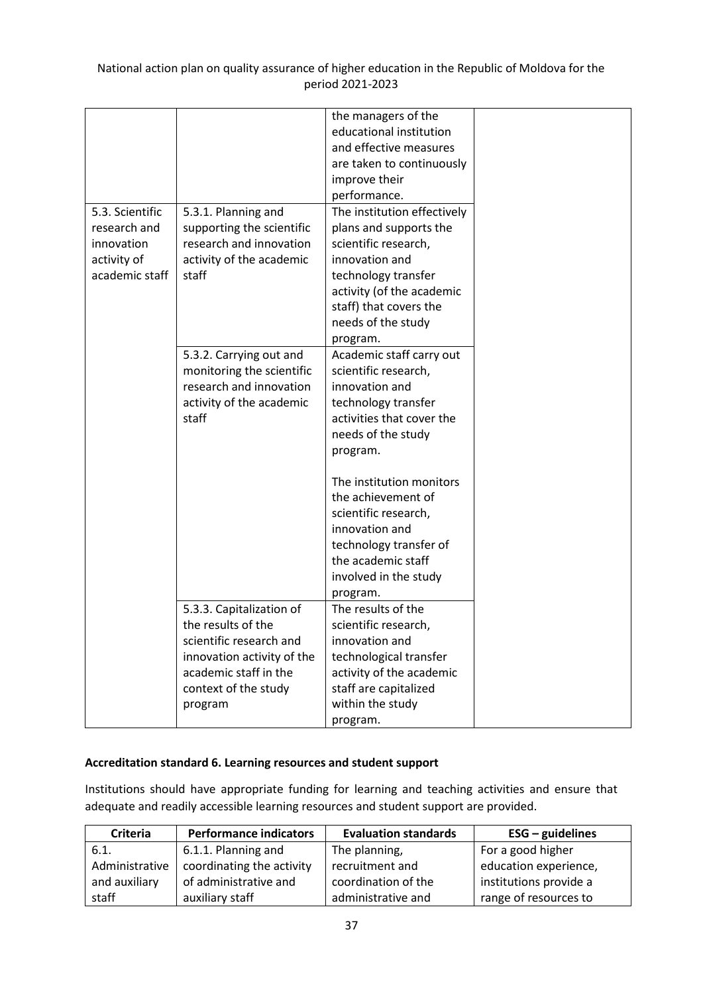|                 |                                                      | the managers of the                    |
|-----------------|------------------------------------------------------|----------------------------------------|
|                 |                                                      | educational institution                |
|                 |                                                      | and effective measures                 |
|                 |                                                      | are taken to continuously              |
|                 |                                                      | improve their                          |
|                 |                                                      | performance.                           |
| 5.3. Scientific |                                                      | The institution effectively            |
| research and    | 5.3.1. Planning and                                  |                                        |
|                 | supporting the scientific<br>research and innovation | plans and supports the                 |
| innovation      |                                                      | scientific research,                   |
| activity of     | activity of the academic                             | innovation and                         |
| academic staff  | staff                                                | technology transfer                    |
|                 |                                                      | activity (of the academic              |
|                 |                                                      | staff) that covers the                 |
|                 |                                                      | needs of the study                     |
|                 |                                                      | program.                               |
|                 | 5.3.2. Carrying out and                              | Academic staff carry out               |
|                 | monitoring the scientific                            | scientific research,                   |
|                 | research and innovation                              | innovation and                         |
|                 | activity of the academic                             | technology transfer                    |
|                 | staff                                                | activities that cover the              |
|                 |                                                      | needs of the study                     |
|                 |                                                      | program.                               |
|                 |                                                      |                                        |
|                 |                                                      | The institution monitors               |
|                 |                                                      | the achievement of                     |
|                 |                                                      | scientific research,                   |
|                 |                                                      | innovation and                         |
|                 |                                                      | technology transfer of                 |
|                 |                                                      | the academic staff                     |
|                 |                                                      | involved in the study                  |
|                 |                                                      |                                        |
|                 | 5.3.3. Capitalization of                             | program.<br>The results of the         |
|                 | the results of the                                   |                                        |
|                 | scientific research and                              | scientific research,<br>innovation and |
|                 |                                                      |                                        |
|                 | innovation activity of the                           | technological transfer                 |
|                 | academic staff in the                                | activity of the academic               |
|                 | context of the study                                 | staff are capitalized                  |
|                 | program                                              | within the study                       |
|                 |                                                      | program.                               |

### **Accreditation standard 6. Learning resources and student support**

Institutions should have appropriate funding for learning and teaching activities and ensure that adequate and readily accessible learning resources and student support are provided.

| <b>Criteria</b> | <b>Performance indicators</b> | <b>Evaluation standards</b> | $ESG -$ guidelines     |
|-----------------|-------------------------------|-----------------------------|------------------------|
| 6.1.            | 6.1.1. Planning and           | The planning,               | For a good higher      |
| Administrative  | coordinating the activity     | recruitment and             | education experience,  |
| and auxiliary   | of administrative and         | coordination of the         | institutions provide a |
| staff           | auxiliary staff               | administrative and          | range of resources to  |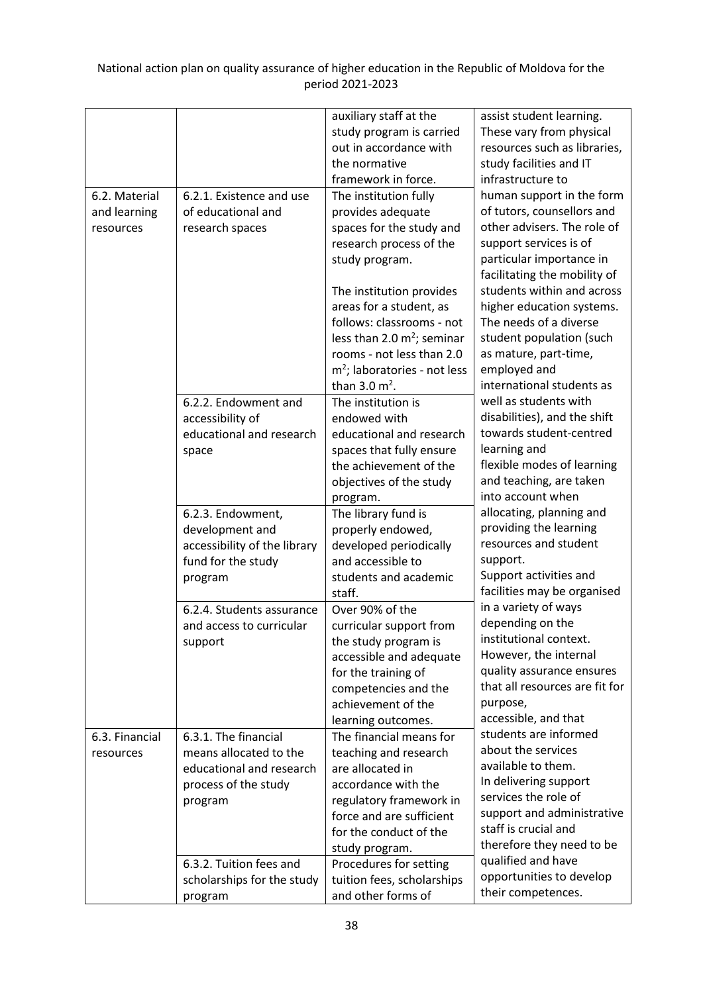|                |                              | auxiliary staff at the         | assist student learning.       |
|----------------|------------------------------|--------------------------------|--------------------------------|
|                |                              | study program is carried       | These vary from physical       |
|                |                              | out in accordance with         | resources such as libraries,   |
|                |                              | the normative                  | study facilities and IT        |
|                |                              | framework in force.            | infrastructure to              |
| 6.2. Material  | 6.2.1. Existence and use     | The institution fully          | human support in the form      |
| and learning   | of educational and           | provides adequate              | of tutors, counsellors and     |
| resources      | research spaces              | spaces for the study and       | other advisers. The role of    |
|                |                              | research process of the        | support services is of         |
|                |                              | study program.                 | particular importance in       |
|                |                              |                                | facilitating the mobility of   |
|                |                              | The institution provides       | students within and across     |
|                |                              | areas for a student, as        | higher education systems.      |
|                |                              | follows: classrooms - not      | The needs of a diverse         |
|                |                              | less than 2.0 $m^2$ ; seminar  | student population (such       |
|                |                              | rooms - not less than 2.0      | as mature, part-time,          |
|                |                              | $m2$ ; laboratories - not less | employed and                   |
|                |                              | than $3.0 \text{ m}^2$ .       | international students as      |
|                | 6.2.2. Endowment and         | The institution is             | well as students with          |
|                | accessibility of             | endowed with                   | disabilities), and the shift   |
|                | educational and research     | educational and research       | towards student-centred        |
|                | space                        | spaces that fully ensure       | learning and                   |
|                |                              | the achievement of the         | flexible modes of learning     |
|                |                              | objectives of the study        | and teaching, are taken        |
|                |                              | program.                       | into account when              |
|                | 6.2.3. Endowment,            | The library fund is            | allocating, planning and       |
|                | development and              | properly endowed,              | providing the learning         |
|                | accessibility of the library | developed periodically         | resources and student          |
|                | fund for the study           | and accessible to              | support.                       |
|                | program                      | students and academic          | Support activities and         |
|                |                              | staff.                         | facilities may be organised    |
|                | 6.2.4. Students assurance    | Over 90% of the                | in a variety of ways           |
|                | and access to curricular     | curricular support from        | depending on the               |
|                | support                      | the study program is           | institutional context.         |
|                |                              | accessible and adequate        | However, the internal          |
|                |                              | for the training of            | quality assurance ensures      |
|                |                              | competencies and the           | that all resources are fit for |
|                |                              | achievement of the             | purpose,                       |
|                |                              | learning outcomes.             | accessible, and that           |
| 6.3. Financial | 6.3.1. The financial         | The financial means for        | students are informed          |
| resources      | means allocated to the       | teaching and research          | about the services             |
|                | educational and research     | are allocated in               | available to them.             |
|                | process of the study         | accordance with the            | In delivering support          |
|                | program                      | regulatory framework in        | services the role of           |
|                |                              | force and are sufficient       | support and administrative     |
|                |                              | for the conduct of the         | staff is crucial and           |
|                |                              | study program.                 | therefore they need to be      |
|                | 6.3.2. Tuition fees and      | Procedures for setting         | qualified and have             |
|                | scholarships for the study   | tuition fees, scholarships     | opportunities to develop       |
|                | program                      | and other forms of             | their competences.             |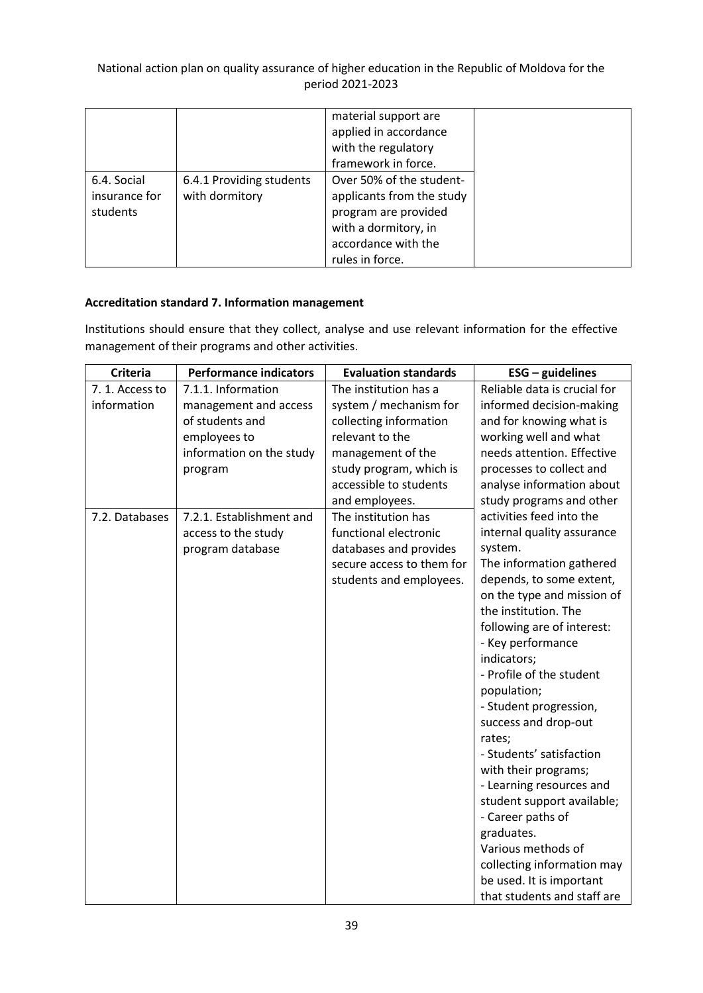|                                          |                                            | material support are<br>applied in accordance<br>with the regulatory<br>framework in force.                                                     |
|------------------------------------------|--------------------------------------------|-------------------------------------------------------------------------------------------------------------------------------------------------|
| 6.4. Social<br>insurance for<br>students | 6.4.1 Providing students<br>with dormitory | Over 50% of the student-<br>applicants from the study<br>program are provided<br>with a dormitory, in<br>accordance with the<br>rules in force. |

### **Accreditation standard 7. Information management**

Institutions should ensure that they collect, analyse and use relevant information for the effective management of their programs and other activities.

| <b>Criteria</b> | <b>Performance indicators</b> | <b>Evaluation standards</b> | $ESG - guidelines$           |
|-----------------|-------------------------------|-----------------------------|------------------------------|
| 7.1. Access to  | 7.1.1. Information            | The institution has a       | Reliable data is crucial for |
| information     | management and access         | system / mechanism for      | informed decision-making     |
|                 | of students and               | collecting information      | and for knowing what is      |
|                 | employees to                  | relevant to the             | working well and what        |
|                 | information on the study      | management of the           | needs attention. Effective   |
|                 | program                       | study program, which is     | processes to collect and     |
|                 |                               | accessible to students      | analyse information about    |
|                 |                               | and employees.              | study programs and other     |
| 7.2. Databases  | 7.2.1. Establishment and      | The institution has         | activities feed into the     |
|                 | access to the study           | functional electronic       | internal quality assurance   |
|                 | program database              | databases and provides      | system.                      |
|                 |                               | secure access to them for   | The information gathered     |
|                 |                               | students and employees.     | depends, to some extent,     |
|                 |                               |                             | on the type and mission of   |
|                 |                               |                             | the institution. The         |
|                 |                               |                             | following are of interest:   |
|                 |                               |                             | - Key performance            |
|                 |                               |                             | indicators;                  |
|                 |                               |                             | - Profile of the student     |
|                 |                               |                             | population;                  |
|                 |                               |                             | - Student progression,       |
|                 |                               |                             | success and drop-out         |
|                 |                               |                             | rates;                       |
|                 |                               |                             | - Students' satisfaction     |
|                 |                               |                             | with their programs;         |
|                 |                               |                             | - Learning resources and     |
|                 |                               |                             | student support available;   |
|                 |                               |                             | - Career paths of            |
|                 |                               |                             | graduates.                   |
|                 |                               |                             | Various methods of           |
|                 |                               |                             | collecting information may   |
|                 |                               |                             | be used. It is important     |
|                 |                               |                             | that students and staff are  |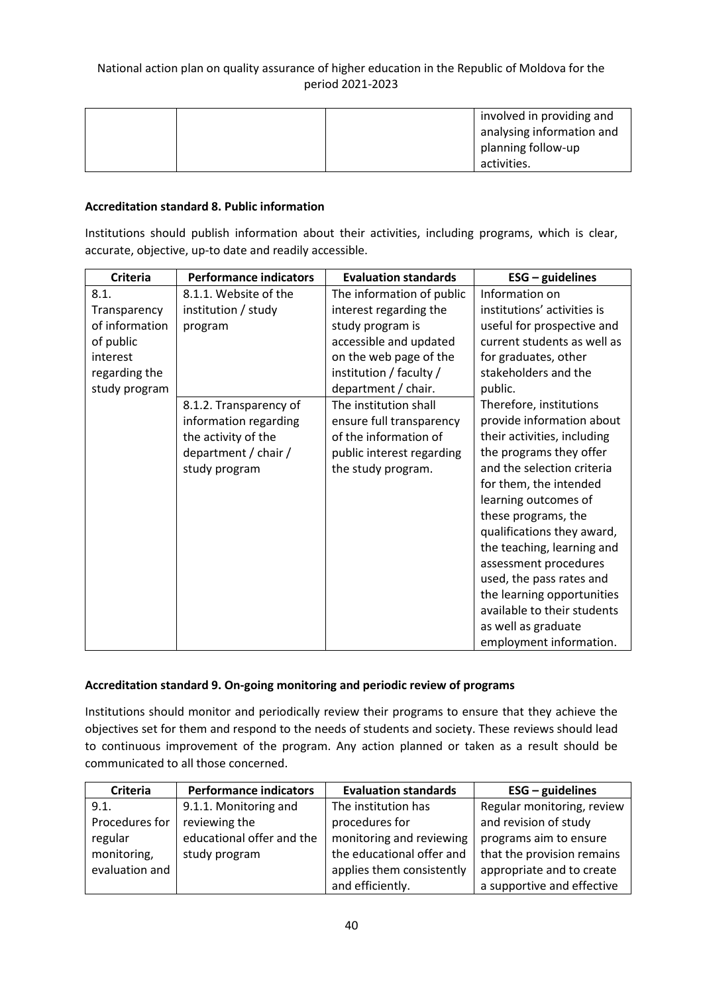| involved in providing and |
|---------------------------|
| analysing information and |
| planning follow-up        |
| activities.               |

### **Accreditation standard 8. Public information**

Institutions should publish information about their activities, including programs, which is clear, accurate, objective, up-to date and readily accessible.

| <b>Criteria</b> | <b>Performance indicators</b> | <b>Evaluation standards</b> | $ESG - guidelines$          |
|-----------------|-------------------------------|-----------------------------|-----------------------------|
| 8.1.            | 8.1.1. Website of the         | The information of public   | Information on              |
| Transparency    | institution / study           | interest regarding the      | institutions' activities is |
| of information  | program                       | study program is            | useful for prospective and  |
| of public       |                               | accessible and updated      | current students as well as |
| interest        |                               | on the web page of the      | for graduates, other        |
| regarding the   |                               | institution / faculty /     | stakeholders and the        |
| study program   |                               | department / chair.         | public.                     |
|                 | 8.1.2. Transparency of        | The institution shall       | Therefore, institutions     |
|                 | information regarding         | ensure full transparency    | provide information about   |
|                 | the activity of the           | of the information of       | their activities, including |
|                 | department / chair /          | public interest regarding   | the programs they offer     |
|                 | study program                 | the study program.          | and the selection criteria  |
|                 |                               |                             | for them, the intended      |
|                 |                               |                             | learning outcomes of        |
|                 |                               |                             | these programs, the         |
|                 |                               |                             | qualifications they award,  |
|                 |                               |                             | the teaching, learning and  |
|                 |                               |                             | assessment procedures       |
|                 |                               |                             | used, the pass rates and    |
|                 |                               |                             | the learning opportunities  |
|                 |                               |                             | available to their students |
|                 |                               |                             | as well as graduate         |
|                 |                               |                             | employment information.     |

### **Accreditation standard 9. On-going monitoring and periodic review of programs**

Institutions should monitor and periodically review their programs to ensure that they achieve the objectives set for them and respond to the needs of students and society. These reviews should lead to continuous improvement of the program. Any action planned or taken as a result should be communicated to all those concerned.

| <b>Criteria</b> | <b>Performance indicators</b> | <b>Evaluation standards</b> | $ESG - guidelines$         |
|-----------------|-------------------------------|-----------------------------|----------------------------|
| 9.1.            | 9.1.1. Monitoring and         | The institution has         | Regular monitoring, review |
| Procedures for  | reviewing the                 | procedures for              | and revision of study      |
| regular         | educational offer and the     | monitoring and reviewing    | programs aim to ensure     |
| monitoring,     | study program                 | the educational offer and   | that the provision remains |
| evaluation and  |                               | applies them consistently   | appropriate and to create  |
|                 |                               | and efficiently.            | a supportive and effective |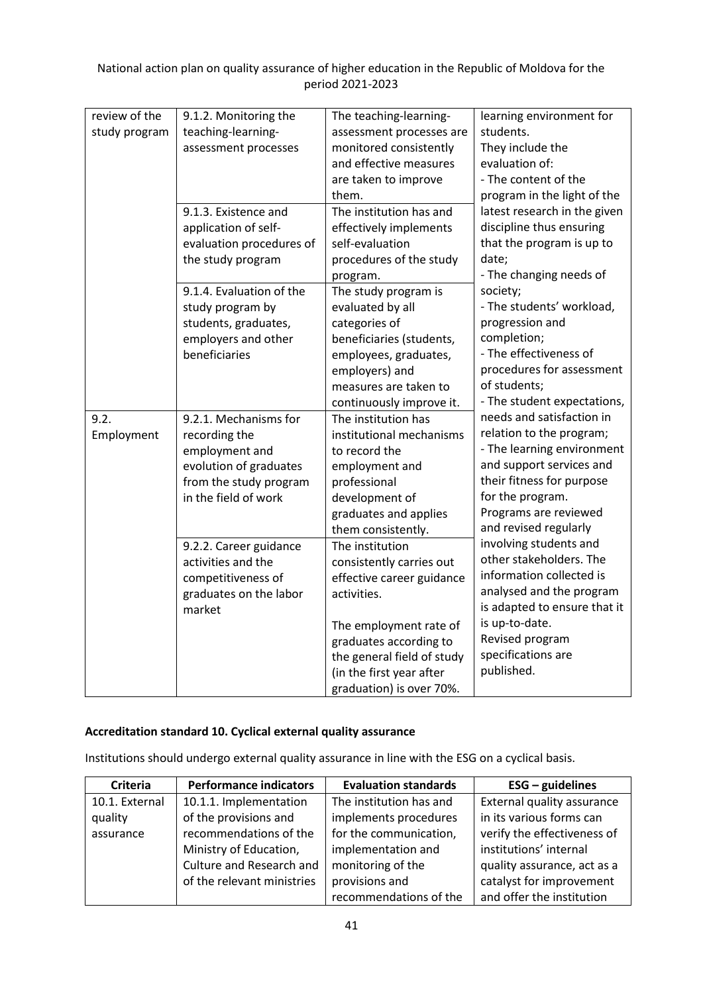| review of the<br>study program | 9.1.2. Monitoring the<br>teaching-learning-<br>assessment processes                                                                  | The teaching-learning-<br>assessment processes are<br>monitored consistently<br>and effective measures<br>are taken to improve<br>them.                                                                                           | learning environment for<br>students.<br>They include the<br>evaluation of:<br>- The content of the<br>program in the light of the                                                                                                                                                                                                                                                                                                       |
|--------------------------------|--------------------------------------------------------------------------------------------------------------------------------------|-----------------------------------------------------------------------------------------------------------------------------------------------------------------------------------------------------------------------------------|------------------------------------------------------------------------------------------------------------------------------------------------------------------------------------------------------------------------------------------------------------------------------------------------------------------------------------------------------------------------------------------------------------------------------------------|
|                                | 9.1.3. Existence and<br>application of self-<br>evaluation procedures of<br>the study program                                        | The institution has and<br>effectively implements<br>self-evaluation<br>procedures of the study<br>program.                                                                                                                       | latest research in the given<br>discipline thus ensuring<br>that the program is up to<br>date;<br>- The changing needs of<br>society;<br>- The students' workload,<br>progression and<br>completion;<br>- The effectiveness of<br>procedures for assessment<br>of students;<br>- The student expectations,                                                                                                                               |
|                                | 9.1.4. Evaluation of the<br>study program by<br>students, graduates,<br>employers and other<br>beneficiaries                         | The study program is<br>evaluated by all<br>categories of<br>beneficiaries (students,<br>employees, graduates,<br>employers) and<br>measures are taken to<br>continuously improve it.                                             |                                                                                                                                                                                                                                                                                                                                                                                                                                          |
| 9.2.<br>Employment             | 9.2.1. Mechanisms for<br>recording the<br>employment and<br>evolution of graduates<br>from the study program<br>in the field of work | The institution has<br>institutional mechanisms<br>to record the<br>employment and<br>professional<br>development of<br>graduates and applies<br>them consistently.                                                               | needs and satisfaction in<br>relation to the program;<br>- The learning environment<br>and support services and<br>their fitness for purpose<br>for the program.<br>Programs are reviewed<br>and revised regularly<br>involving students and<br>other stakeholders. The<br>information collected is<br>analysed and the program<br>is adapted to ensure that it<br>is up-to-date.<br>Revised program<br>specifications are<br>published. |
|                                | 9.2.2. Career guidance<br>activities and the<br>competitiveness of<br>graduates on the labor<br>market                               | The institution<br>consistently carries out<br>effective career guidance<br>activities.<br>The employment rate of<br>graduates according to<br>the general field of study<br>(in the first year after<br>graduation) is over 70%. |                                                                                                                                                                                                                                                                                                                                                                                                                                          |

### **Accreditation standard 10. Cyclical external quality assurance**

Institutions should undergo external quality assurance in line with the ESG on a cyclical basis.

| <b>Criteria</b> | <b>Performance indicators</b> | <b>Evaluation standards</b> | $ESG - guidelines$          |
|-----------------|-------------------------------|-----------------------------|-----------------------------|
| 10.1. External  | 10.1.1. Implementation        | The institution has and     | External quality assurance  |
| quality         | of the provisions and         | implements procedures       | in its various forms can    |
| assurance       | recommendations of the        | for the communication,      | verify the effectiveness of |
|                 | Ministry of Education,        | implementation and          | institutions' internal      |
|                 | Culture and Research and      | monitoring of the           | quality assurance, act as a |
|                 | of the relevant ministries    | provisions and              | catalyst for improvement    |
|                 |                               | recommendations of the      | and offer the institution   |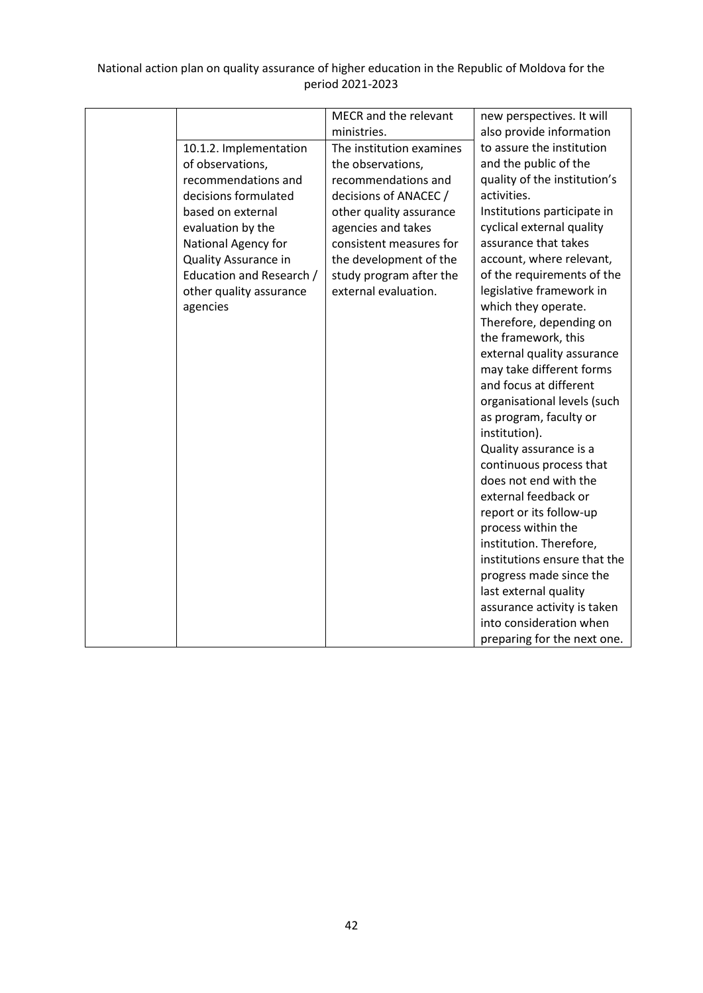|                          | MECR and the relevant    | new perspectives. It will    |
|--------------------------|--------------------------|------------------------------|
|                          | ministries.              | also provide information     |
| 10.1.2. Implementation   | The institution examines | to assure the institution    |
| of observations,         | the observations,        | and the public of the        |
| recommendations and      | recommendations and      | quality of the institution's |
| decisions formulated     | decisions of ANACEC /    | activities.                  |
| based on external        | other quality assurance  | Institutions participate in  |
| evaluation by the        | agencies and takes       | cyclical external quality    |
| National Agency for      | consistent measures for  | assurance that takes         |
| Quality Assurance in     | the development of the   | account, where relevant,     |
| Education and Research / | study program after the  | of the requirements of the   |
| other quality assurance  | external evaluation.     | legislative framework in     |
| agencies                 |                          | which they operate.          |
|                          |                          | Therefore, depending on      |
|                          |                          | the framework, this          |
|                          |                          | external quality assurance   |
|                          |                          | may take different forms     |
|                          |                          | and focus at different       |
|                          |                          | organisational levels (such  |
|                          |                          | as program, faculty or       |
|                          |                          | institution).                |
|                          |                          | Quality assurance is a       |
|                          |                          | continuous process that      |
|                          |                          | does not end with the        |
|                          |                          | external feedback or         |
|                          |                          | report or its follow-up      |
|                          |                          | process within the           |
|                          |                          | institution. Therefore,      |
|                          |                          | institutions ensure that the |
|                          |                          | progress made since the      |
|                          |                          | last external quality        |
|                          |                          | assurance activity is taken  |
|                          |                          | into consideration when      |
|                          |                          | preparing for the next one.  |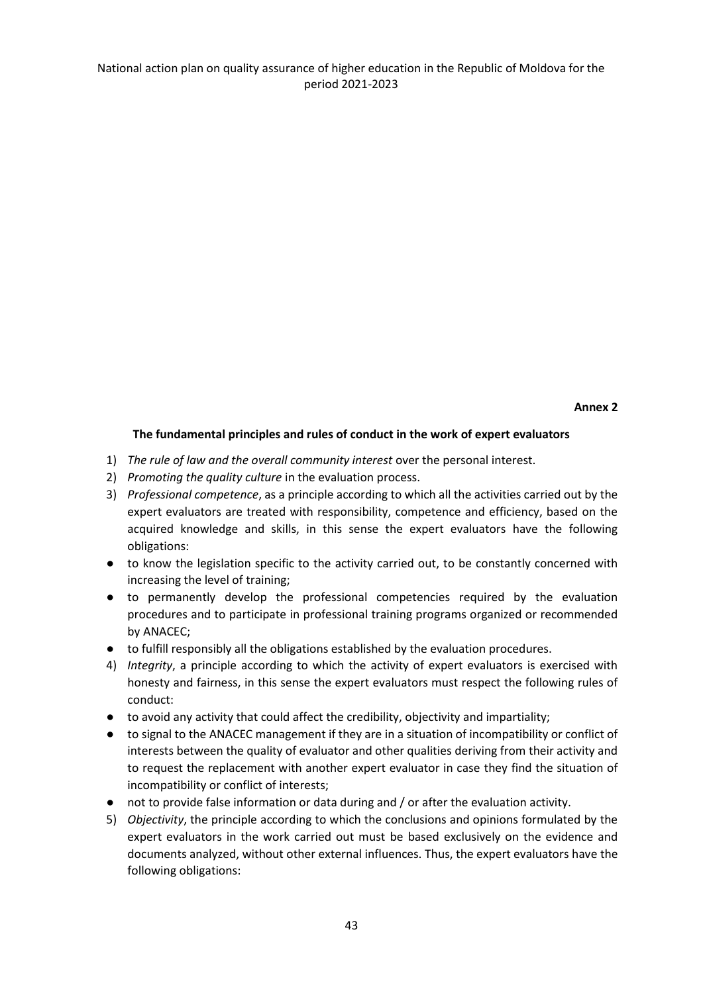#### **Annex 2**

#### **The fundamental principles and rules of conduct in the work of expert evaluators**

- 1) *The rule of law and the overall community interest* over the personal interest.
- 2) *Promoting the quality culture* in the evaluation process.
- 3) *Professional competence*, as a principle according to which all the activities carried out by the expert evaluators are treated with responsibility, competence and efficiency, based on the acquired knowledge and skills, in this sense the expert evaluators have the following obligations:
- to know the legislation specific to the activity carried out, to be constantly concerned with increasing the level of training;
- to permanently develop the professional competencies required by the evaluation procedures and to participate in professional training programs organized or recommended by ANACEC;
- to fulfill responsibly all the obligations established by the evaluation procedures.
- 4) *Integrity*, a principle according to which the activity of expert evaluators is exercised with honesty and fairness, in this sense the expert evaluators must respect the following rules of conduct:
- to avoid any activity that could affect the credibility, objectivity and impartiality;
- to signal to the ANACEC management if they are in a situation of incompatibility or conflict of interests between the quality of evaluator and other qualities deriving from their activity and to request the replacement with another expert evaluator in case they find the situation of incompatibility or conflict of interests;
- not to provide false information or data during and / or after the evaluation activity.
- 5) *Objectivity*, the principle according to which the conclusions and opinions formulated by the expert evaluators in the work carried out must be based exclusively on the evidence and documents analyzed, without other external influences. Thus, the expert evaluators have the following obligations: